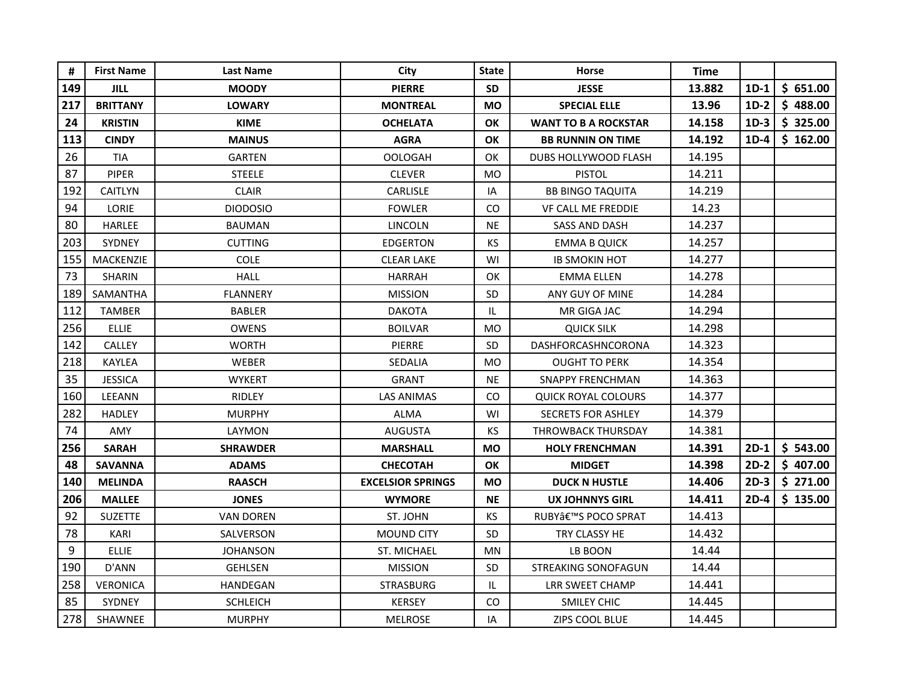| #   | <b>First Name</b> | <b>Last Name</b> | City                     | <b>State</b>                      | <b>Horse</b>                | Time   |        |          |
|-----|-------------------|------------------|--------------------------|-----------------------------------|-----------------------------|--------|--------|----------|
| 149 | <b>JILL</b>       | <b>MOODY</b>     | <b>PIERRE</b>            | <b>SD</b>                         | <b>JESSE</b>                | 13.882 | $1D-1$ | \$651.00 |
| 217 | <b>BRITTANY</b>   | <b>LOWARY</b>    | <b>MONTREAL</b>          | <b>MO</b>                         | <b>SPECIAL ELLE</b>         | 13.96  | $1D-2$ | \$488.00 |
| 24  | <b>KRISTIN</b>    | <b>KIME</b>      | <b>OCHELATA</b>          | OK                                | <b>WANT TO B A ROCKSTAR</b> | 14.158 | $1D-3$ | \$325.00 |
| 113 | <b>CINDY</b>      | <b>MAINUS</b>    | <b>AGRA</b>              | OK                                | <b>BB RUNNIN ON TIME</b>    | 14.192 | $1D-4$ | \$162.00 |
| 26  | <b>TIA</b>        | <b>GARTEN</b>    | <b>OOLOGAH</b>           | OK                                | DUBS HOLLYWOOD FLASH        | 14.195 |        |          |
| 87  | <b>PIPER</b>      | <b>STEELE</b>    | <b>CLEVER</b>            | <b>MO</b>                         | <b>PISTOL</b>               | 14.211 |        |          |
| 192 | <b>CAITLYN</b>    | <b>CLAIR</b>     | <b>CARLISLE</b>          | IA                                | <b>BB BINGO TAQUITA</b>     | 14.219 |        |          |
| 94  | LORIE             | <b>DIODOSIO</b>  | <b>FOWLER</b>            | CO.                               | <b>VF CALL ME FREDDIE</b>   | 14.23  |        |          |
| 80  | <b>HARLEE</b>     | <b>BAUMAN</b>    | <b>LINCOLN</b>           | <b>NE</b>                         | <b>SASS AND DASH</b>        | 14.237 |        |          |
| 203 | <b>SYDNEY</b>     | <b>CUTTING</b>   | EDGERTON                 | <b>KS</b>                         | <b>EMMA B QUICK</b>         | 14.257 |        |          |
| 155 | <b>MACKENZIE</b>  | <b>COLE</b>      | <b>CLEAR LAKE</b>        | WI                                | <b>IB SMOKIN HOT</b>        | 14.277 |        |          |
| 73  | <b>SHARIN</b>     | <b>HALL</b>      | <b>HARRAH</b>            | OK                                | <b>EMMA ELLEN</b>           | 14.278 |        |          |
| 189 | SAMANTHA          | <b>FLANNERY</b>  | <b>MISSION</b>           | SD                                | ANY GUY OF MINE             | 14.284 |        |          |
| 112 | TAMBER            | <b>BABLER</b>    | <b>DAKOTA</b>            | $\ensuremath{\mathsf{IL}}\xspace$ | MR GIGA JAC                 | 14.294 |        |          |
| 256 | <b>ELLIE</b>      | <b>OWENS</b>     | <b>BOILVAR</b>           | <b>MO</b>                         | QUICK SILK                  | 14.298 |        |          |
| 142 | <b>CALLEY</b>     | <b>WORTH</b>     | <b>PIERRE</b>            | <b>SD</b>                         | DASHFORCASHNCORONA          | 14.323 |        |          |
| 218 | KAYLEA            | WEBER            | SEDALIA                  | <b>MO</b>                         | <b>OUGHT TO PERK</b>        | 14.354 |        |          |
| 35  | <b>JESSICA</b>    | <b>WYKERT</b>    | <b>GRANT</b>             | <b>NE</b>                         | <b>SNAPPY FRENCHMAN</b>     | 14.363 |        |          |
| 160 | LEEANN            | <b>RIDLEY</b>    | LAS ANIMAS               | CO.                               | <b>QUICK ROYAL COLOURS</b>  | 14.377 |        |          |
| 282 | <b>HADLEY</b>     | <b>MURPHY</b>    | <b>ALMA</b>              | WI                                | <b>SECRETS FOR ASHLEY</b>   | 14.379 |        |          |
| 74  | <b>AMY</b>        | LAYMON           | <b>AUGUSTA</b>           | KS                                | THROWBACK THURSDAY          | 14.381 |        |          |
| 256 | <b>SARAH</b>      | <b>SHRAWDER</b>  | <b>MARSHALL</b>          | <b>MO</b>                         | <b>HOLY FRENCHMAN</b>       | 14.391 | $2D-1$ | \$543.00 |
| 48  | <b>SAVANNA</b>    | <b>ADAMS</b>     | <b>CHECOTAH</b>          | OK                                | <b>MIDGET</b>               | 14.398 | $2D-2$ | \$407.00 |
| 140 | <b>MELINDA</b>    | <b>RAASCH</b>    | <b>EXCELSIOR SPRINGS</b> | <b>MO</b>                         | <b>DUCK N HUSTLE</b>        | 14.406 | $2D-3$ | \$271.00 |
| 206 | <b>MALLEE</b>     | <b>JONES</b>     | <b>WYMORE</b>            | <b>NE</b>                         | <b>UX JOHNNYS GIRL</b>      | 14.411 | $2D-4$ | \$135.00 |
| 92  | <b>SUZETTE</b>    | <b>VAN DOREN</b> | ST. JOHN                 | <b>KS</b>                         | RUBY'S POCO SPRAT           | 14.413 |        |          |
| 78  | KARI              | SALVERSON        | <b>MOUND CITY</b>        | SD                                | TRY CLASSY HE               | 14.432 |        |          |
| 9   | <b>ELLIE</b>      | <b>JOHANSON</b>  | ST. MICHAEL              | <b>MN</b>                         | LB BOON                     | 14.44  |        |          |
| 190 | D'ANN             | <b>GEHLSEN</b>   | <b>MISSION</b>           | SD                                | STREAKING SONOFAGUN         | 14.44  |        |          |
| 258 | <b>VERONICA</b>   | HANDEGAN         | <b>STRASBURG</b>         | IL.                               | LRR SWEET CHAMP             | 14.441 |        |          |
| 85  | SYDNEY            | <b>SCHLEICH</b>  | <b>KERSEY</b>            | CO.                               | <b>SMILEY CHIC</b>          | 14.445 |        |          |
| 278 | SHAWNEE           | <b>MURPHY</b>    | <b>MELROSE</b>           | IA                                | <b>ZIPS COOL BLUE</b>       | 14.445 |        |          |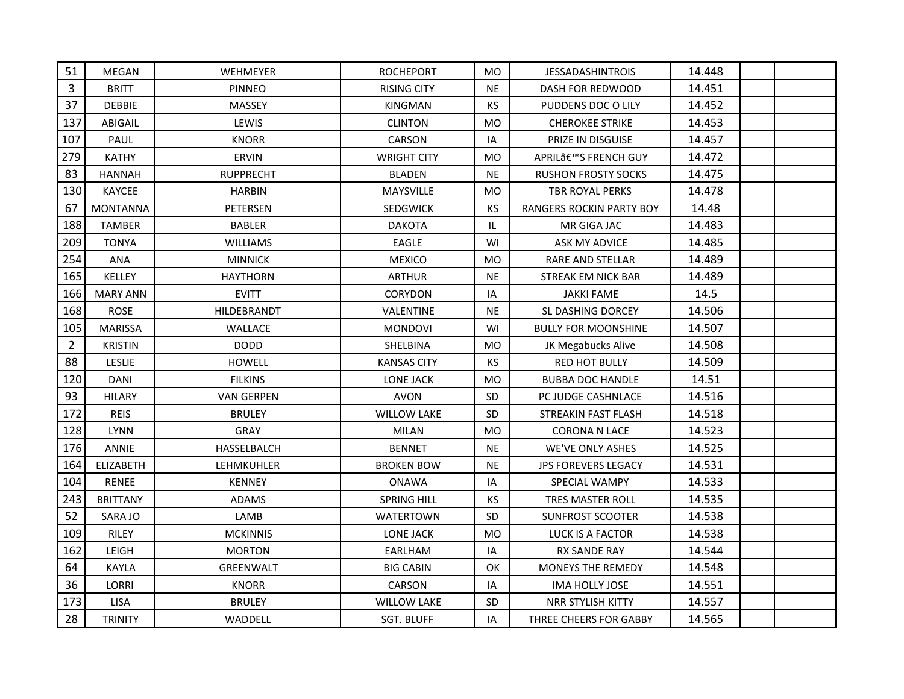| 51             | MEGAN            | <b>WEHMEYER</b>   | <b>ROCHEPORT</b>   | <b>MO</b>      | <b>JESSADASHINTROIS</b>    | 14.448 |  |
|----------------|------------------|-------------------|--------------------|----------------|----------------------------|--------|--|
| 3              | <b>BRITT</b>     | <b>PINNEO</b>     | <b>RISING CITY</b> | <b>NE</b>      | <b>DASH FOR REDWOOD</b>    | 14.451 |  |
| 37             | DEBBIE           | MASSEY            | KINGMAN            | <b>KS</b>      | PUDDENS DOC O LILY         | 14.452 |  |
| 137            | ABIGAIL          | LEWIS             | <b>CLINTON</b>     | <b>MO</b>      | <b>CHEROKEE STRIKE</b>     | 14.453 |  |
| 107            | PAUL             | <b>KNORR</b>      | CARSON             | IA             | PRIZE IN DISGUISE          | 14.457 |  |
| 279            | <b>KATHY</b>     | <b>ERVIN</b>      | <b>WRIGHT CITY</b> | <b>MO</b>      | APRIL'S FRENCH GUY         | 14.472 |  |
| 83             | <b>HANNAH</b>    | <b>RUPPRECHT</b>  | <b>BLADEN</b>      | <b>NE</b>      | <b>RUSHON FROSTY SOCKS</b> | 14.475 |  |
| 130            | KAYCEE           | <b>HARBIN</b>     | MAYSVILLE          | <b>MO</b>      | TBR ROYAL PERKS            | 14.478 |  |
| 67             | <b>MONTANNA</b>  | PETERSEN          | <b>SEDGWICK</b>    | <b>KS</b>      | RANGERS ROCKIN PARTY BOY   | 14.48  |  |
| 188            | <b>TAMBER</b>    | <b>BABLER</b>     | <b>DAKOTA</b>      | IL.            | MR GIGA JAC                | 14.483 |  |
| 209            | <b>TONYA</b>     | <b>WILLIAMS</b>   | <b>EAGLE</b>       | WI             | ASK MY ADVICE              | 14.485 |  |
| 254            | ANA              | <b>MINNICK</b>    | <b>MEXICO</b>      | M <sub>O</sub> | RARE AND STELLAR           | 14.489 |  |
| 165            | KELLEY           | <b>HAYTHORN</b>   | <b>ARTHUR</b>      | <b>NE</b>      | STREAK EM NICK BAR         | 14.489 |  |
| 166            | <b>MARY ANN</b>  | <b>EVITT</b>      | <b>CORYDON</b>     | IA             | <b>JAKKI FAME</b>          | 14.5   |  |
| 168            | <b>ROSE</b>      | HILDEBRANDT       | VALENTINE          | <b>NE</b>      | SL DASHING DORCEY          | 14.506 |  |
| 105            | <b>MARISSA</b>   | WALLACE           | <b>MONDOVI</b>     | WI             | <b>BULLY FOR MOONSHINE</b> | 14.507 |  |
| $\overline{2}$ | <b>KRISTIN</b>   | <b>DODD</b>       | SHELBINA           | <b>MO</b>      | JK Megabucks Alive         | 14.508 |  |
| 88             | LESLIE           | <b>HOWELL</b>     | <b>KANSAS CITY</b> | <b>KS</b>      | <b>RED HOT BULLY</b>       | 14.509 |  |
| 120            | <b>DANI</b>      | <b>FILKINS</b>    | <b>LONE JACK</b>   | <b>MO</b>      | <b>BUBBA DOC HANDLE</b>    | 14.51  |  |
| 93             | <b>HILARY</b>    | <b>VAN GERPEN</b> | <b>AVON</b>        | <b>SD</b>      | PC JUDGE CASHNLACE         | 14.516 |  |
| 172            | <b>REIS</b>      | <b>BRULEY</b>     | <b>WILLOW LAKE</b> | <b>SD</b>      | STREAKIN FAST FLASH        | 14.518 |  |
| 128            | <b>LYNN</b>      | GRAY              | <b>MILAN</b>       | <b>MO</b>      | <b>CORONA N LACE</b>       | 14.523 |  |
| 176            | ANNIE            | HASSELBALCH       | <b>BENNET</b>      | <b>NE</b>      | WE'VE ONLY ASHES           | 14.525 |  |
| 164            | <b>ELIZABETH</b> | LEHMKUHLER        | <b>BROKEN BOW</b>  | <b>NE</b>      | <b>JPS FOREVERS LEGACY</b> | 14.531 |  |
| 104            | RENEE            | <b>KENNEY</b>     | <b>ONAWA</b>       | IA             | SPECIAL WAMPY              | 14.533 |  |
| 243            | <b>BRITTANY</b>  | ADAMS             | SPRING HILL        | KS             | TRES MASTER ROLL           | 14.535 |  |
| 52             | SARA JO          | LAMB              | <b>WATERTOWN</b>   | SD             | <b>SUNFROST SCOOTER</b>    | 14.538 |  |
| 109            | <b>RILEY</b>     | <b>MCKINNIS</b>   | <b>LONE JACK</b>   | <b>MO</b>      | LUCK IS A FACTOR           | 14.538 |  |
| 162            | LEIGH            | <b>MORTON</b>     | EARLHAM            | IA             | RX SANDE RAY               | 14.544 |  |
| 64             | <b>KAYLA</b>     | GREENWALT         | <b>BIG CABIN</b>   | OK             | MONEYS THE REMEDY          | 14.548 |  |
| 36             | LORRI            | <b>KNORR</b>      | CARSON             | IA             | <b>IMA HOLLY JOSE</b>      | 14.551 |  |
| 173            | LISA             | <b>BRULEY</b>     | <b>WILLOW LAKE</b> | <b>SD</b>      | NRR STYLISH KITTY          | 14.557 |  |
| 28             | <b>TRINITY</b>   | WADDELL           | <b>SGT. BLUFF</b>  | IA             | THREE CHEERS FOR GABBY     | 14.565 |  |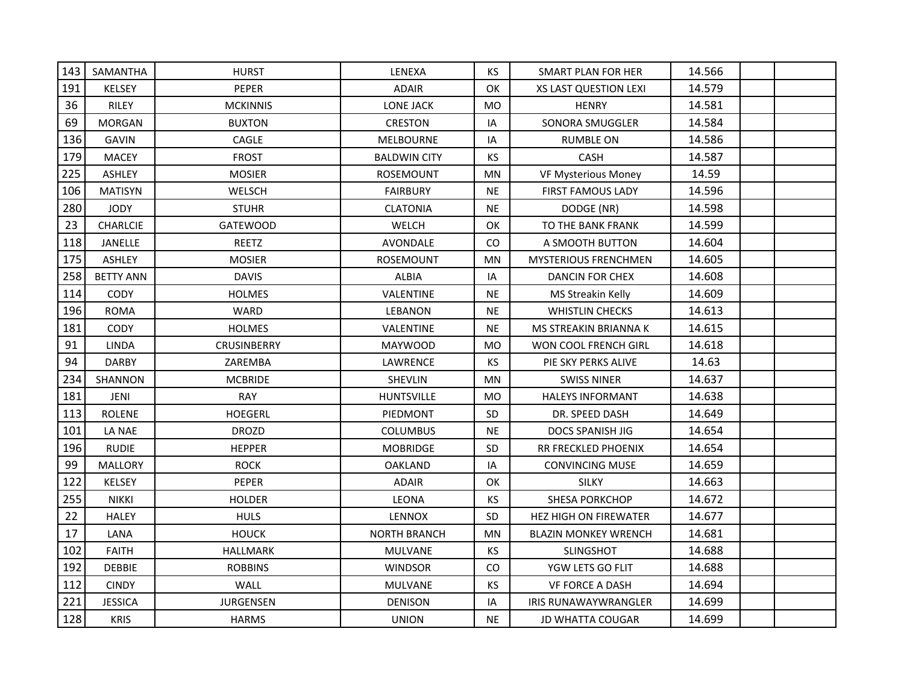| 143 | SAMANTHA         | <b>HURST</b>       | LENEXA              | <b>KS</b> | SMART PLAN FOR HER           | 14.566 |  |
|-----|------------------|--------------------|---------------------|-----------|------------------------------|--------|--|
| 191 | <b>KELSEY</b>    | PEPER              | <b>ADAIR</b>        | OK        | <b>XS LAST QUESTION LEXI</b> | 14.579 |  |
| 36  | <b>RILEY</b>     | <b>MCKINNIS</b>    | LONE JACK           | <b>MO</b> | <b>HENRY</b>                 | 14.581 |  |
| 69  | <b>MORGAN</b>    | <b>BUXTON</b>      | <b>CRESTON</b>      | IA        | SONORA SMUGGLER              | 14.584 |  |
| 136 | <b>GAVIN</b>     | CAGLE              | <b>MELBOURNE</b>    | IA        | <b>RUMBLE ON</b>             | 14.586 |  |
| 179 | <b>MACEY</b>     | <b>FROST</b>       | <b>BALDWIN CITY</b> | <b>KS</b> | CASH                         | 14.587 |  |
| 225 | ASHLEY           | <b>MOSIER</b>      | ROSEMOUNT           | <b>MN</b> | <b>VF Mysterious Money</b>   | 14.59  |  |
| 106 | <b>MATISYN</b>   | <b>WELSCH</b>      | <b>FAIRBURY</b>     | <b>NE</b> | <b>FIRST FAMOUS LADY</b>     | 14.596 |  |
| 280 | <b>JODY</b>      | <b>STUHR</b>       | <b>CLATONIA</b>     | <b>NE</b> | DODGE (NR)                   | 14.598 |  |
| 23  | <b>CHARLCIE</b>  | <b>GATEWOOD</b>    | WELCH               | OK        | TO THE BANK FRANK            | 14.599 |  |
| 118 | JANELLE          | <b>REETZ</b>       | AVONDALE            | CO        | A SMOOTH BUTTON              | 14.604 |  |
| 175 | <b>ASHLEY</b>    | <b>MOSIER</b>      | ROSEMOUNT           | <b>MN</b> | <b>MYSTERIOUS FRENCHMEN</b>  | 14.605 |  |
| 258 | <b>BETTY ANN</b> | <b>DAVIS</b>       | <b>ALBIA</b>        | IA        | DANCIN FOR CHEX              | 14.608 |  |
| 114 | <b>CODY</b>      | <b>HOLMES</b>      | VALENTINE           | NE.       | MS Streakin Kelly            | 14.609 |  |
| 196 | <b>ROMA</b>      | <b>WARD</b>        | LEBANON             | <b>NE</b> | <b>WHISTLIN CHECKS</b>       | 14.613 |  |
| 181 | CODY             | <b>HOLMES</b>      | VALENTINE           | NE.       | MS STREAKIN BRIANNA K        | 14.615 |  |
| 91  | <b>LINDA</b>     | <b>CRUSINBERRY</b> | MAYWOOD             | <b>MO</b> | <b>WON COOL FRENCH GIRL</b>  | 14.618 |  |
| 94  | <b>DARBY</b>     | ZAREMBA            | LAWRENCE            | KS        | PIE SKY PERKS ALIVE          | 14.63  |  |
| 234 | SHANNON          | <b>MCBRIDE</b>     | <b>SHEVLIN</b>      | MN        | <b>SWISS NINER</b>           | 14.637 |  |
| 181 | JENI             | RAY                | HUNTSVILLE          | MO        | <b>HALEYS INFORMANT</b>      | 14.638 |  |
| 113 | <b>ROLENE</b>    | <b>HOEGERL</b>     | PIEDMONT            | SD        | DR. SPEED DASH               | 14.649 |  |
| 101 | LA NAE           | <b>DROZD</b>       | <b>COLUMBUS</b>     | <b>NE</b> | <b>DOCS SPANISH JIG</b>      | 14.654 |  |
| 196 | <b>RUDIE</b>     | <b>HEPPER</b>      | <b>MOBRIDGE</b>     | <b>SD</b> | RR FRECKLED PHOENIX          | 14.654 |  |
| 99  | <b>MALLORY</b>   | <b>ROCK</b>        | <b>OAKLAND</b>      | IA        | <b>CONVINCING MUSE</b>       | 14.659 |  |
| 122 | <b>KELSEY</b>    | PEPER              | <b>ADAIR</b>        | OK        | <b>SILKY</b>                 | 14.663 |  |
| 255 | <b>NIKKI</b>     | <b>HOLDER</b>      | LEONA               | KS        | SHESA PORKCHOP               | 14.672 |  |
| 22  | <b>HALEY</b>     | <b>HULS</b>        | <b>LENNOX</b>       | <b>SD</b> | HEZ HIGH ON FIREWATER        | 14.677 |  |
| 17  | LANA             | <b>HOUCK</b>       | <b>NORTH BRANCH</b> | <b>MN</b> | <b>BLAZIN MONKEY WRENCH</b>  | 14.681 |  |
| 102 | <b>FAITH</b>     | <b>HALLMARK</b>    | <b>MULVANE</b>      | <b>KS</b> | SLINGSHOT                    | 14.688 |  |
| 192 | <b>DEBBIE</b>    | <b>ROBBINS</b>     | <b>WINDSOR</b>      | CO        | YGW LETS GO FLIT             | 14.688 |  |
| 112 | <b>CINDY</b>     | WALL               | <b>MULVANE</b>      | KS        | <b>VF FORCE A DASH</b>       | 14.694 |  |
| 221 | <b>JESSICA</b>   | <b>JURGENSEN</b>   | <b>DENISON</b>      | IA        | <b>IRIS RUNAWAYWRANGLER</b>  | 14.699 |  |
| 128 | <b>KRIS</b>      | <b>HARMS</b>       | <b>UNION</b>        | <b>NE</b> | <b>JD WHATTA COUGAR</b>      | 14.699 |  |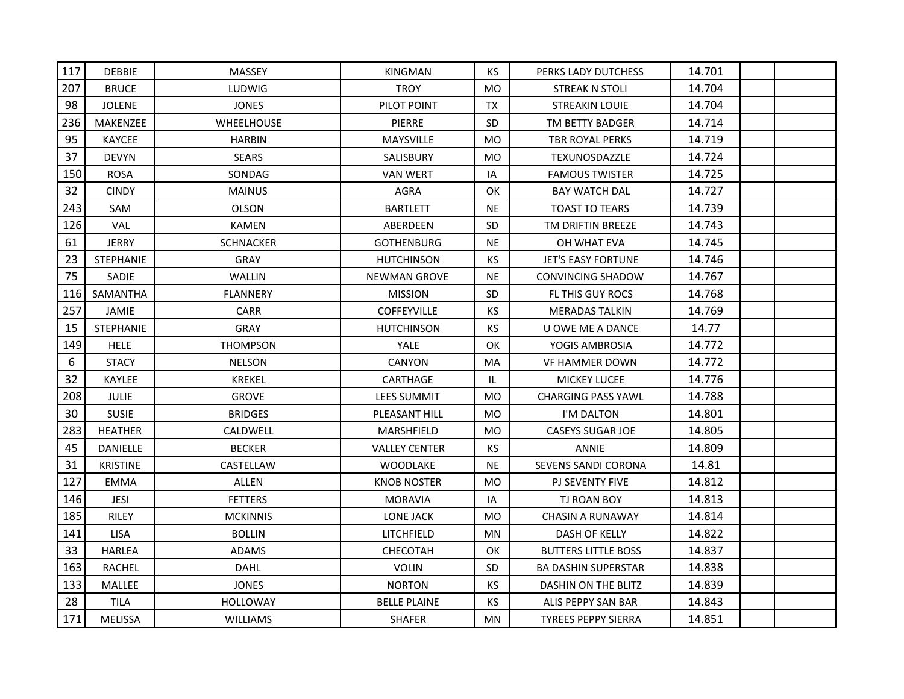| 117 | <b>DEBBIE</b>    | <b>MASSEY</b>     | <b>KINGMAN</b>       | KS.       | PERKS LADY DUTCHESS        | 14.701 |  |
|-----|------------------|-------------------|----------------------|-----------|----------------------------|--------|--|
| 207 | <b>BRUCE</b>     | <b>LUDWIG</b>     | <b>TROY</b>          | <b>MO</b> | <b>STREAK N STOLI</b>      | 14.704 |  |
| 98  | <b>JOLENE</b>    | <b>JONES</b>      | PILOT POINT          | TX        | <b>STREAKIN LOUIE</b>      | 14.704 |  |
| 236 | <b>MAKENZEE</b>  | <b>WHEELHOUSE</b> | <b>PIERRE</b>        | <b>SD</b> | TM BETTY BADGER            | 14.714 |  |
| 95  | <b>KAYCEE</b>    | <b>HARBIN</b>     | <b>MAYSVILLE</b>     | <b>MO</b> | TBR ROYAL PERKS            | 14.719 |  |
| 37  | <b>DEVYN</b>     | <b>SEARS</b>      | SALISBURY            | <b>MO</b> | TEXUNOSDAZZLE              | 14.724 |  |
| 150 | <b>ROSA</b>      | SONDAG            | VAN WERT             | IA        | <b>FAMOUS TWISTER</b>      | 14.725 |  |
| 32  | <b>CINDY</b>     | <b>MAINUS</b>     | <b>AGRA</b>          | OK        | <b>BAY WATCH DAL</b>       | 14.727 |  |
| 243 | SAM              | <b>OLSON</b>      | <b>BARTLETT</b>      | NE.       | <b>TOAST TO TEARS</b>      | 14.739 |  |
| 126 | VAL.             | <b>KAMEN</b>      | ABERDEEN             | SD.       | TM DRIFTIN BREEZE          | 14.743 |  |
| 61  | <b>JERRY</b>     | <b>SCHNACKER</b>  | <b>GOTHENBURG</b>    | <b>NE</b> | OH WHAT EVA                | 14.745 |  |
| 23  | <b>STEPHANIE</b> | <b>GRAY</b>       | <b>HUTCHINSON</b>    | <b>KS</b> | <b>JET'S EASY FORTUNE</b>  | 14.746 |  |
| 75  | <b>SADIE</b>     | WALLIN            | <b>NEWMAN GROVE</b>  | NE.       | <b>CONVINCING SHADOW</b>   | 14.767 |  |
| 116 | SAMANTHA         | <b>FLANNERY</b>   | <b>MISSION</b>       | SD.       | FL THIS GUY ROCS           | 14.768 |  |
| 257 | JAMIE            | <b>CARR</b>       | <b>COFFEYVILLE</b>   | KS.       | <b>MERADAS TALKIN</b>      | 14.769 |  |
| 15  | <b>STEPHANIE</b> | <b>GRAY</b>       | <b>HUTCHINSON</b>    | KS.       | U OWE ME A DANCE           | 14.77  |  |
| 149 | <b>HELE</b>      | <b>THOMPSON</b>   | <b>YALE</b>          | OK        | YOGIS AMBROSIA             | 14.772 |  |
| 6   | <b>STACY</b>     | <b>NELSON</b>     | CANYON               | MA        | VF HAMMER DOWN             | 14.772 |  |
| 32  | <b>KAYLEE</b>    | <b>KREKEL</b>     | CARTHAGE             | IL        | <b>MICKEY LUCEE</b>        | 14.776 |  |
| 208 | <b>JULIE</b>     | <b>GROVE</b>      | <b>LEES SUMMIT</b>   | MO        | <b>CHARGING PASS YAWL</b>  | 14.788 |  |
| 30  | <b>SUSIE</b>     | <b>BRIDGES</b>    | PLEASANT HILL        | <b>MO</b> | I'M DALTON                 | 14.801 |  |
| 283 | <b>HEATHER</b>   | CALDWELL          | <b>MARSHFIELD</b>    | <b>MO</b> | <b>CASEYS SUGAR JOE</b>    | 14.805 |  |
| 45  | <b>DANIELLE</b>  | <b>BECKER</b>     | <b>VALLEY CENTER</b> | <b>KS</b> | <b>ANNIE</b>               | 14.809 |  |
| 31  | <b>KRISTINE</b>  | CASTELLAW         | <b>WOODLAKE</b>      | <b>NE</b> | SEVENS SANDI CORONA        | 14.81  |  |
| 127 | <b>EMMA</b>      | <b>ALLEN</b>      | <b>KNOB NOSTER</b>   | <b>MO</b> | PJ SEVENTY FIVE            | 14.812 |  |
| 146 | JESI             | <b>FETTERS</b>    | <b>MORAVIA</b>       | IA        | TJ ROAN BOY                | 14.813 |  |
| 185 | RILEY            | <b>MCKINNIS</b>   | LONE JACK            | <b>MO</b> | <b>CHASIN A RUNAWAY</b>    | 14.814 |  |
| 141 | <b>LISA</b>      | <b>BOLLIN</b>     | LITCHFIELD           | MN        | DASH OF KELLY              | 14.822 |  |
| 33  | <b>HARLEA</b>    | <b>ADAMS</b>      | CHECOTAH             | OK        | <b>BUTTERS LITTLE BOSS</b> | 14.837 |  |
| 163 | <b>RACHEL</b>    | <b>DAHL</b>       | <b>VOLIN</b>         | <b>SD</b> | <b>BA DASHIN SUPERSTAR</b> | 14.838 |  |
| 133 | MALLEE           | <b>JONES</b>      | <b>NORTON</b>        | KS        | DASHIN ON THE BLITZ        | 14.839 |  |
| 28  | TILA             | <b>HOLLOWAY</b>   | <b>BELLE PLAINE</b>  | КS        | ALIS PEPPY SAN BAR         | 14.843 |  |
| 171 | <b>MELISSA</b>   | <b>WILLIAMS</b>   | <b>SHAFER</b>        | <b>MN</b> | <b>TYREES PEPPY SIERRA</b> | 14.851 |  |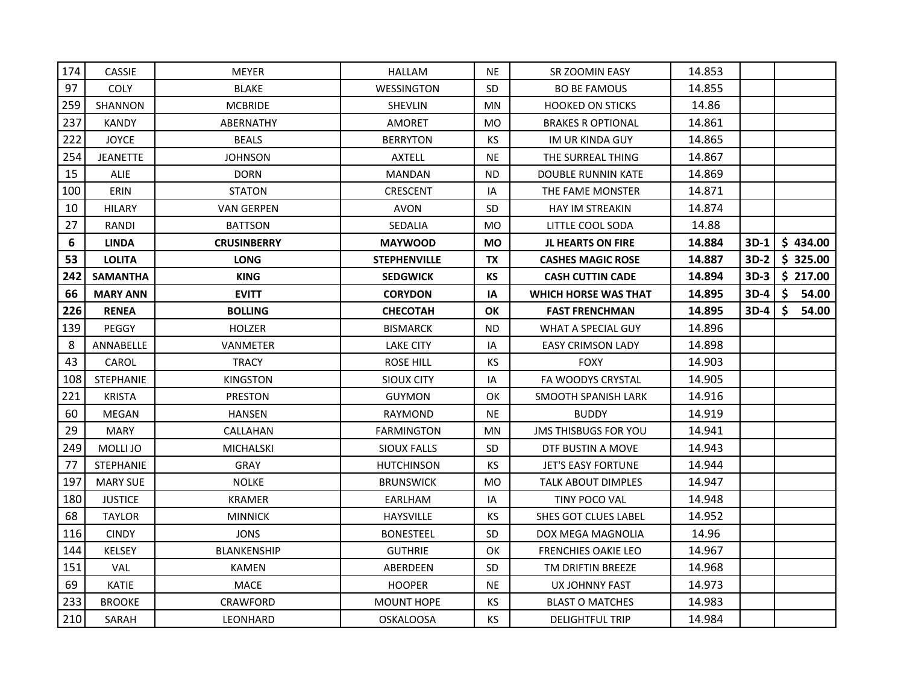| 174 | <b>CASSIE</b>    | <b>MEYER</b>       | <b>HALLAM</b>       | <b>NE</b>      | SR ZOOMIN EASY              | 14.853 |        |    |          |
|-----|------------------|--------------------|---------------------|----------------|-----------------------------|--------|--------|----|----------|
| 97  | <b>COLY</b>      | <b>BLAKE</b>       | <b>WESSINGTON</b>   | <b>SD</b>      | <b>BO BE FAMOUS</b>         | 14.855 |        |    |          |
| 259 | <b>SHANNON</b>   | <b>MCBRIDE</b>     | <b>SHEVLIN</b>      | MN             | <b>HOOKED ON STICKS</b>     | 14.86  |        |    |          |
| 237 | <b>KANDY</b>     | ABERNATHY          | <b>AMORET</b>       | M <sub>O</sub> | <b>BRAKES R OPTIONAL</b>    | 14.861 |        |    |          |
| 222 | <b>JOYCE</b>     | <b>BEALS</b>       | <b>BERRYTON</b>     | KS.            | IM UR KINDA GUY             | 14.865 |        |    |          |
| 254 | <b>JEANETTE</b>  | <b>JOHNSON</b>     | <b>AXTELL</b>       | <b>NE</b>      | THE SURREAL THING           | 14.867 |        |    |          |
| 15  | <b>ALIE</b>      | <b>DORN</b>        | <b>MANDAN</b>       | <b>ND</b>      | DOUBLE RUNNIN KATE          | 14.869 |        |    |          |
| 100 | ERIN             | <b>STATON</b>      | <b>CRESCENT</b>     | IA             | THE FAME MONSTER            | 14.871 |        |    |          |
| 10  | <b>HILARY</b>    | <b>VAN GERPEN</b>  | <b>AVON</b>         | <b>SD</b>      | <b>HAY IM STREAKIN</b>      | 14.874 |        |    |          |
| 27  | RANDI            | <b>BATTSON</b>     | SEDALIA             | M <sub>O</sub> | LITTLE COOL SODA            | 14.88  |        |    |          |
| 6   | <b>LINDA</b>     | <b>CRUSINBERRY</b> | <b>MAYWOOD</b>      | <b>MO</b>      | <b>JL HEARTS ON FIRE</b>    | 14.884 | 3D-1   |    | \$434.00 |
| 53  | <b>LOLITA</b>    | <b>LONG</b>        | <b>STEPHENVILLE</b> | TX             | <b>CASHES MAGIC ROSE</b>    | 14.887 | $3D-2$ |    | \$325.00 |
| 242 | <b>SAMANTHA</b>  | <b>KING</b>        | <b>SEDGWICK</b>     | КS             | <b>CASH CUTTIN CADE</b>     | 14.894 | $3D-3$ |    | \$217.00 |
| 66  | <b>MARY ANN</b>  | <b>EVITT</b>       | <b>CORYDON</b>      | IA             | <b>WHICH HORSE WAS THAT</b> | 14.895 | $3D-4$ | Ŝ. | 54.00    |
| 226 | <b>RENEA</b>     | <b>BOLLING</b>     | <b>CHECOTAH</b>     | <b>OK</b>      | <b>FAST FRENCHMAN</b>       | 14.895 | $3D-4$ | Ŝ. | 54.00    |
| 139 | <b>PEGGY</b>     | <b>HOLZER</b>      | <b>BISMARCK</b>     | ND.            | WHAT A SPECIAL GUY          | 14.896 |        |    |          |
| 8   | ANNABELLE        | VANMETER           | <b>LAKE CITY</b>    | IA             | <b>EASY CRIMSON LADY</b>    | 14.898 |        |    |          |
| 43  | CAROL            | <b>TRACY</b>       | <b>ROSE HILL</b>    | KS.            | <b>FOXY</b>                 | 14.903 |        |    |          |
| 108 | <b>STEPHANIE</b> | <b>KINGSTON</b>    | SIOUX CITY          | IA             | <b>FA WOODYS CRYSTAL</b>    | 14.905 |        |    |          |
| 221 | <b>KRISTA</b>    | <b>PRESTON</b>     | <b>GUYMON</b>       | OK             | SMOOTH SPANISH LARK         | 14.916 |        |    |          |
| 60  | <b>MEGAN</b>     | <b>HANSEN</b>      | <b>RAYMOND</b>      | <b>NE</b>      | <b>BUDDY</b>                | 14.919 |        |    |          |
| 29  | <b>MARY</b>      | CALLAHAN           | <b>FARMINGTON</b>   | <b>MN</b>      | <b>JMS THISBUGS FOR YOU</b> | 14.941 |        |    |          |
| 249 | MOLLI JO         | <b>MICHALSKI</b>   | <b>SIOUX FALLS</b>  | <b>SD</b>      | DTF BUSTIN A MOVE           | 14.943 |        |    |          |
| 77  | <b>STEPHANIE</b> | <b>GRAY</b>        | <b>HUTCHINSON</b>   | KS.            | <b>JET'S EASY FORTUNE</b>   | 14.944 |        |    |          |
| 197 | <b>MARY SUE</b>  | <b>NOLKE</b>       | <b>BRUNSWICK</b>    | M <sub>O</sub> | <b>TALK ABOUT DIMPLES</b>   | 14.947 |        |    |          |
| 180 | <b>JUSTICE</b>   | KRAMER             | EARLHAM             | IA             | TINY POCO VAL               | 14.948 |        |    |          |
| 68  | <b>TAYLOR</b>    | <b>MINNICK</b>     | <b>HAYSVILLE</b>    | KS             | <b>SHES GOT CLUES LABEL</b> | 14.952 |        |    |          |
| 116 | <b>CINDY</b>     | <b>JONS</b>        | <b>BONESTEEL</b>    | <b>SD</b>      | DOX MEGA MAGNOLIA           | 14.96  |        |    |          |
| 144 | <b>KELSEY</b>    | <b>BLANKENSHIP</b> | <b>GUTHRIE</b>      | OK             | <b>FRENCHIES OAKIE LEO</b>  | 14.967 |        |    |          |
| 151 | <b>VAL</b>       | <b>KAMEN</b>       | ABERDEEN            | <b>SD</b>      | TM DRIFTIN BREEZE           | 14.968 |        |    |          |
| 69  | <b>KATIE</b>     | MACE               | <b>HOOPER</b>       | <b>NE</b>      | UX JOHNNY FAST              | 14.973 |        |    |          |
| 233 | <b>BROOKE</b>    | <b>CRAWFORD</b>    | <b>MOUNT HOPE</b>   | KS.            | <b>BLAST O MATCHES</b>      | 14.983 |        |    |          |
| 210 | SARAH            | <b>LEONHARD</b>    | <b>OSKALOOSA</b>    | <b>KS</b>      | <b>DELIGHTFUL TRIP</b>      | 14.984 |        |    |          |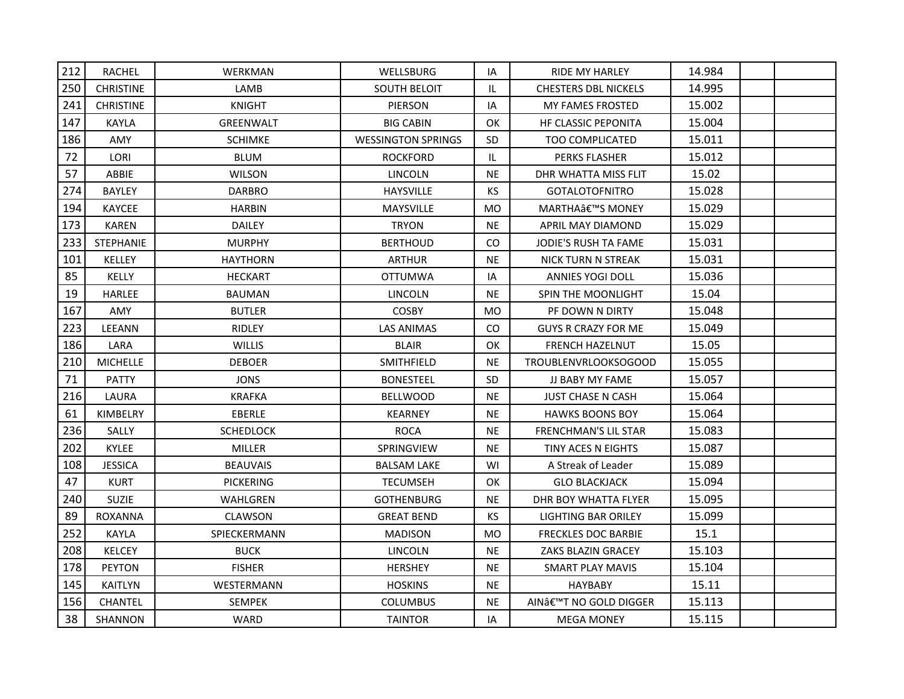| 212 | <b>RACHEL</b>    | WERKMAN          | WELLSBURG                 | IA                                | <b>RIDE MY HARLEY</b>       | 14.984 |  |
|-----|------------------|------------------|---------------------------|-----------------------------------|-----------------------------|--------|--|
| 250 | <b>CHRISTINE</b> | LAMB             | <b>SOUTH BELOIT</b>       | IL                                | <b>CHESTERS DBL NICKELS</b> | 14.995 |  |
| 241 | <b>CHRISTINE</b> | <b>KNIGHT</b>    | <b>PIERSON</b>            | IA                                | <b>MY FAMES FROSTED</b>     | 15.002 |  |
| 147 | KAYLA            | <b>GREENWALT</b> | <b>BIG CABIN</b>          | OK                                | <b>HF CLASSIC PEPONITA</b>  | 15.004 |  |
| 186 | AMY              | <b>SCHIMKE</b>   | <b>WESSINGTON SPRINGS</b> | <b>SD</b>                         | TOO COMPLICATED             | 15.011 |  |
| 72  | LORI             | <b>BLUM</b>      | <b>ROCKFORD</b>           | $\ensuremath{\mathsf{IL}}\xspace$ | PERKS FLASHER               | 15.012 |  |
| 57  | ABBIE            | <b>WILSON</b>    | <b>LINCOLN</b>            | <b>NE</b>                         | DHR WHATTA MISS FLIT        | 15.02  |  |
| 274 | <b>BAYLEY</b>    | <b>DARBRO</b>    | <b>HAYSVILLE</b>          | <b>KS</b>                         | <b>GOTALOTOFNITRO</b>       | 15.028 |  |
| 194 | <b>KAYCEE</b>    | <b>HARBIN</b>    | <b>MAYSVILLE</b>          | MO                                | MARTHA'S MONEY              | 15.029 |  |
| 173 | <b>KAREN</b>     | <b>DAILEY</b>    | <b>TRYON</b>              | <b>NE</b>                         | APRIL MAY DIAMOND           | 15.029 |  |
| 233 | <b>STEPHANIE</b> | <b>MURPHY</b>    | <b>BERTHOUD</b>           | CO                                | JODIE'S RUSH TA FAME        | 15.031 |  |
| 101 | <b>KELLEY</b>    | <b>HAYTHORN</b>  | <b>ARTHUR</b>             | <b>NE</b>                         | <b>NICK TURN N STREAK</b>   | 15.031 |  |
| 85  | KELLY            | <b>HECKART</b>   | OTTUMWA                   | IA                                | <b>ANNIES YOGI DOLL</b>     | 15.036 |  |
| 19  | HARLEE           | <b>BAUMAN</b>    | <b>LINCOLN</b>            | <b>NE</b>                         | SPIN THE MOONLIGHT          | 15.04  |  |
| 167 | <b>AMY</b>       | <b>BUTLER</b>    | <b>COSBY</b>              | <b>MO</b>                         | PF DOWN N DIRTY             | 15.048 |  |
| 223 | LEEANN           | <b>RIDLEY</b>    | LAS ANIMAS                | CO.                               | <b>GUYS R CRAZY FOR ME</b>  | 15.049 |  |
| 186 | LARA             | <b>WILLIS</b>    | <b>BLAIR</b>              | OK                                | <b>FRENCH HAZELNUT</b>      | 15.05  |  |
| 210 | <b>MICHELLE</b>  | <b>DEBOER</b>    | SMITHFIELD                | <b>NE</b>                         | <b>TROUBLENVRLOOKSOGOOD</b> | 15.055 |  |
| 71  | PATTY            | <b>JONS</b>      | <b>BONESTEEL</b>          | <b>SD</b>                         | JJ BABY MY FAME             | 15.057 |  |
| 216 | LAURA            | <b>KRAFKA</b>    | <b>BELLWOOD</b>           | <b>NE</b>                         | <b>JUST CHASE N CASH</b>    | 15.064 |  |
| 61  | KIMBELRY         | EBERLE           | <b>KEARNEY</b>            | NE.                               | <b>HAWKS BOONS BOY</b>      | 15.064 |  |
| 236 | SALLY            | <b>SCHEDLOCK</b> | <b>ROCA</b>               | <b>NE</b>                         | <b>FRENCHMAN'S LIL STAR</b> | 15.083 |  |
| 202 | <b>KYLEE</b>     | <b>MILLER</b>    | SPRINGVIEW                | <b>NE</b>                         | TINY ACES N EIGHTS          | 15.087 |  |
| 108 | <b>JESSICA</b>   | <b>BEAUVAIS</b>  | <b>BALSAM LAKE</b>        | WI                                | A Streak of Leader          | 15.089 |  |
| 47  | <b>KURT</b>      | <b>PICKERING</b> | <b>TECUMSEH</b>           | OK                                | <b>GLO BLACKJACK</b>        | 15.094 |  |
| 240 | <b>SUZIE</b>     | WAHLGREN         | <b>GOTHENBURG</b>         | NE.                               | DHR BOY WHATTA FLYER        | 15.095 |  |
| 89  | <b>ROXANNA</b>   | <b>CLAWSON</b>   | <b>GREAT BEND</b>         | KS.                               | LIGHTING BAR ORILEY         | 15.099 |  |
| 252 | KAYLA            | SPIECKERMANN     | <b>MADISON</b>            | <b>MO</b>                         | <b>FRECKLES DOC BARBIE</b>  | 15.1   |  |
| 208 | KELCEY           | <b>BUCK</b>      | <b>LINCOLN</b>            | <b>NE</b>                         | ZAKS BLAZIN GRACEY          | 15.103 |  |
| 178 | <b>PEYTON</b>    | <b>FISHER</b>    | <b>HERSHEY</b>            | <b>NE</b>                         | <b>SMART PLAY MAVIS</b>     | 15.104 |  |
| 145 | <b>KAITLYN</b>   | WESTERMANN       | <b>HOSKINS</b>            | <b>NE</b>                         | <b>HAYBABY</b>              | 15.11  |  |
| 156 | <b>CHANTEL</b>   | <b>SEMPEK</b>    | <b>COLUMBUS</b>           | NE.                               | AIN'T NO GOLD DIGGER        | 15.113 |  |
| 38  | <b>SHANNON</b>   | <b>WARD</b>      | <b>TAINTOR</b>            | IA                                | <b>MEGA MONEY</b>           | 15.115 |  |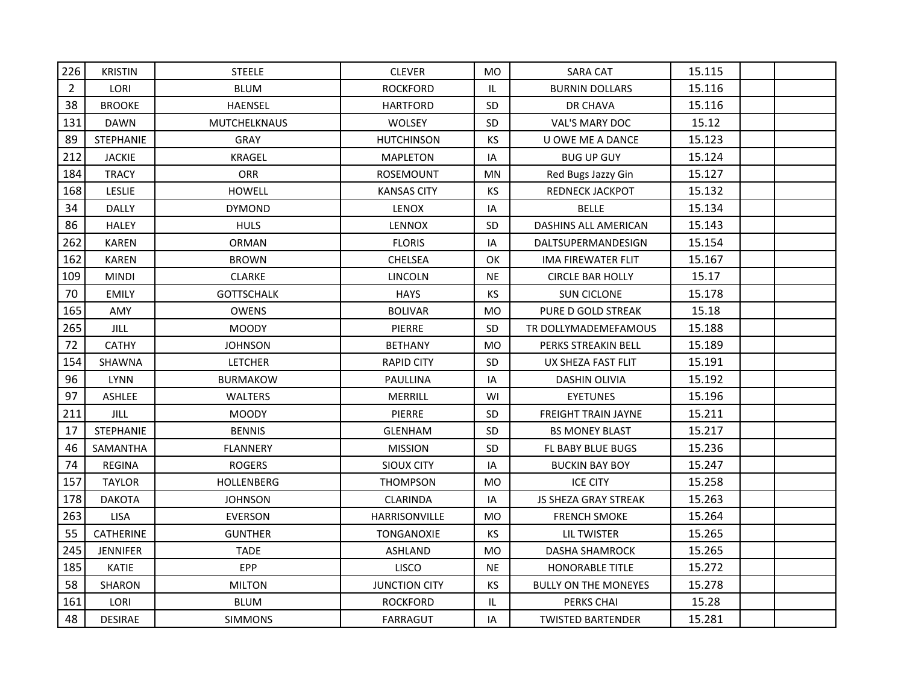| 226            | <b>KRISTIN</b>   | <b>STEELE</b>     | <b>CLEVER</b>        | <b>MO</b>                         | <b>SARA CAT</b>             | 15.115 |  |
|----------------|------------------|-------------------|----------------------|-----------------------------------|-----------------------------|--------|--|
| $\overline{2}$ | LORI             | <b>BLUM</b>       | <b>ROCKFORD</b>      | $\ensuremath{\mathsf{IL}}\xspace$ | <b>BURNIN DOLLARS</b>       | 15.116 |  |
| 38             | <b>BROOKE</b>    | <b>HAENSEL</b>    | <b>HARTFORD</b>      | SD                                | DR CHAVA                    | 15.116 |  |
| 131            | <b>DAWN</b>      | MUTCHELKNAUS      | <b>WOLSEY</b>        | <b>SD</b>                         | VAL'S MARY DOC              | 15.12  |  |
| 89             | STEPHANIE        | <b>GRAY</b>       | <b>HUTCHINSON</b>    | KS                                | U OWE ME A DANCE            | 15.123 |  |
| 212            | <b>JACKIE</b>    | <b>KRAGEL</b>     | <b>MAPLETON</b>      | IA                                | <b>BUG UP GUY</b>           | 15.124 |  |
| 184            | <b>TRACY</b>     | <b>ORR</b>        | ROSEMOUNT            | <b>MN</b>                         | Red Bugs Jazzy Gin          | 15.127 |  |
| 168            | <b>LESLIE</b>    | <b>HOWELL</b>     | <b>KANSAS CITY</b>   | KS                                | REDNECK JACKPOT             | 15.132 |  |
| 34             | <b>DALLY</b>     | <b>DYMOND</b>     | <b>LENOX</b>         | IA                                | <b>BELLE</b>                | 15.134 |  |
| 86             | <b>HALEY</b>     | <b>HULS</b>       | LENNOX               | SD                                | DASHINS ALL AMERICAN        | 15.143 |  |
| 262            | <b>KAREN</b>     | <b>ORMAN</b>      | <b>FLORIS</b>        | IA                                | DALTSUPERMANDESIGN          | 15.154 |  |
| 162            | <b>KAREN</b>     | <b>BROWN</b>      | CHELSEA              | OK                                | IMA FIREWATER FLIT          | 15.167 |  |
| 109            | <b>MINDI</b>     | <b>CLARKE</b>     | <b>LINCOLN</b>       | <b>NE</b>                         | <b>CIRCLE BAR HOLLY</b>     | 15.17  |  |
| 70             | <b>EMILY</b>     | <b>GOTTSCHALK</b> | <b>HAYS</b>          | <b>KS</b>                         | <b>SUN CICLONE</b>          | 15.178 |  |
| 165            | <b>AMY</b>       | <b>OWENS</b>      | <b>BOLIVAR</b>       | M <sub>O</sub>                    | PURE D GOLD STREAK          | 15.18  |  |
| 265            | JILL             | <b>MOODY</b>      | PIERRE               | <b>SD</b>                         | TR DOLLYMADEMEFAMOUS        | 15.188 |  |
| 72             | <b>CATHY</b>     | <b>JOHNSON</b>    | <b>BETHANY</b>       | MO                                | PERKS STREAKIN BELL         | 15.189 |  |
| 154            | SHAWNA           | <b>LETCHER</b>    | <b>RAPID CITY</b>    | <b>SD</b>                         | UX SHEZA FAST FLIT          | 15.191 |  |
| 96             | <b>LYNN</b>      | <b>BURMAKOW</b>   | PAULLINA             | IA                                | <b>DASHIN OLIVIA</b>        | 15.192 |  |
| 97             | <b>ASHLEE</b>    | <b>WALTERS</b>    | MERRILL              | WI                                | <b>EYETUNES</b>             | 15.196 |  |
| 211            | JILL             | <b>MOODY</b>      | <b>PIERRE</b>        | <b>SD</b>                         | <b>FREIGHT TRAIN JAYNE</b>  | 15.211 |  |
| 17             | STEPHANIE        | <b>BENNIS</b>     | <b>GLENHAM</b>       | SD                                | <b>BS MONEY BLAST</b>       | 15.217 |  |
| 46             | SAMANTHA         | <b>FLANNERY</b>   | <b>MISSION</b>       | SD                                | FL BABY BLUE BUGS           | 15.236 |  |
| 74             | <b>REGINA</b>    | <b>ROGERS</b>     | SIOUX CITY           | IA                                | <b>BUCKIN BAY BOY</b>       | 15.247 |  |
| 157            | <b>TAYLOR</b>    | <b>HOLLENBERG</b> | <b>THOMPSON</b>      | <b>MO</b>                         | <b>ICE CITY</b>             | 15.258 |  |
| 178            | <b>DAKOTA</b>    | <b>JOHNSON</b>    | <b>CLARINDA</b>      | IA                                | <b>JS SHEZA GRAY STREAK</b> | 15.263 |  |
| 263            | <b>LISA</b>      | <b>EVERSON</b>    | HARRISONVILLE        | <b>MO</b>                         | <b>FRENCH SMOKE</b>         | 15.264 |  |
| 55             | <b>CATHERINE</b> | <b>GUNTHER</b>    | <b>TONGANOXIE</b>    | KS.                               | <b>LIL TWISTER</b>          | 15.265 |  |
| 245            | <b>JENNIFER</b>  | <b>TADE</b>       | <b>ASHLAND</b>       | <b>MO</b>                         | <b>DASHA SHAMROCK</b>       | 15.265 |  |
| 185            | <b>KATIE</b>     | EPP               | LISCO                | <b>NE</b>                         | <b>HONORABLE TITLE</b>      | 15.272 |  |
| 58             | <b>SHARON</b>    | <b>MILTON</b>     | <b>JUNCTION CITY</b> | KS                                | <b>BULLY ON THE MONEYES</b> | 15.278 |  |
| 161            | LORI             | <b>BLUM</b>       | <b>ROCKFORD</b>      | IL                                | PERKS CHAI                  | 15.28  |  |
| 48             | <b>DESIRAE</b>   | <b>SIMMONS</b>    | <b>FARRAGUT</b>      | IA                                | <b>TWISTED BARTENDER</b>    | 15.281 |  |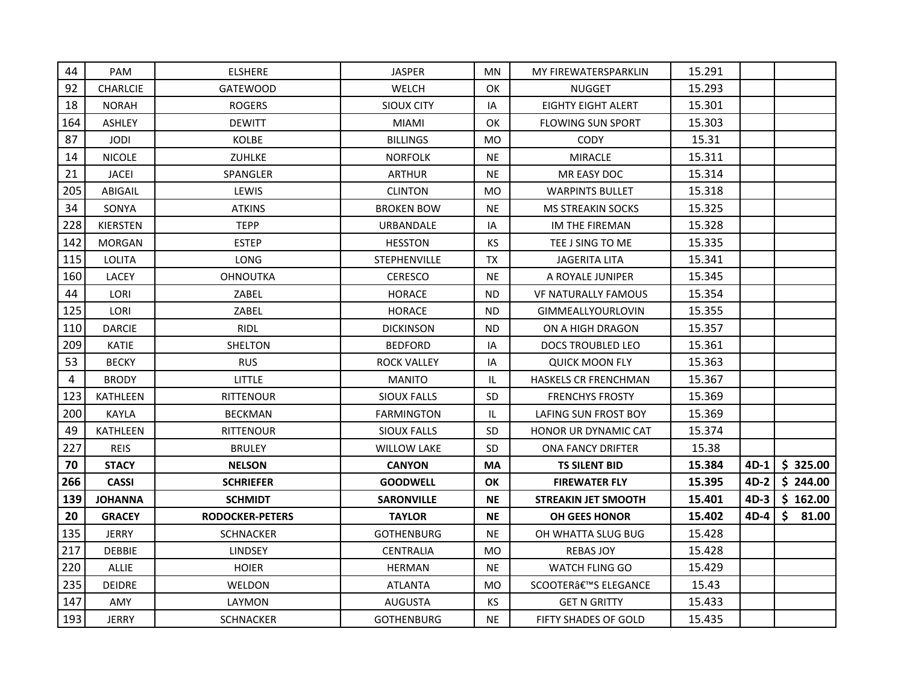| 44  | <b>PAM</b>      | <b>ELSHERE</b>         | <b>JASPER</b>       | MN.       | MY FIREWATERSPARKLIN        | 15.291 |        |             |
|-----|-----------------|------------------------|---------------------|-----------|-----------------------------|--------|--------|-------------|
| 92  | <b>CHARLCIE</b> | <b>GATEWOOD</b>        | <b>WELCH</b>        | <b>OK</b> | <b>NUGGET</b>               | 15.293 |        |             |
| 18  | <b>NORAH</b>    | <b>ROGERS</b>          | SIOUX CITY          | IA        | <b>EIGHTY EIGHT ALERT</b>   | 15.301 |        |             |
| 164 | <b>ASHLEY</b>   | <b>DEWITT</b>          | <b>MIAMI</b>        | <b>OK</b> | <b>FLOWING SUN SPORT</b>    | 15.303 |        |             |
| 87  | <b>JODI</b>     | <b>KOLBE</b>           | <b>BILLINGS</b>     | <b>MO</b> | CODY                        | 15.31  |        |             |
| 14  | <b>NICOLE</b>   | ZUHLKE                 | <b>NORFOLK</b>      | <b>NE</b> | <b>MIRACLE</b>              | 15.311 |        |             |
| 21  | <b>JACEI</b>    | SPANGLER               | <b>ARTHUR</b>       | <b>NE</b> | MR EASY DOC                 | 15.314 |        |             |
| 205 | ABIGAIL         | LEWIS                  | <b>CLINTON</b>      | MO        | <b>WARPINTS BULLET</b>      | 15.318 |        |             |
| 34  | SONYA           | <b>ATKINS</b>          | <b>BROKEN BOW</b>   | <b>NE</b> | <b>MS STREAKIN SOCKS</b>    | 15.325 |        |             |
| 228 | <b>KIERSTEN</b> | <b>TEPP</b>            | <b>URBANDALE</b>    | IA        | IM THE FIREMAN              | 15.328 |        |             |
| 142 | <b>MORGAN</b>   | <b>ESTEP</b>           | <b>HESSTON</b>      | <b>KS</b> | TEE J SING TO ME            | 15.335 |        |             |
| 115 | <b>LOLITA</b>   | <b>LONG</b>            | <b>STEPHENVILLE</b> | <b>TX</b> | <b>JAGERITA LITA</b>        | 15.341 |        |             |
| 160 | <b>LACEY</b>    | <b>OHNOUTKA</b>        | <b>CERESCO</b>      | <b>NE</b> | A ROYALE JUNIPER            | 15.345 |        |             |
| 44  | LORI            | ZABEL                  | <b>HORACE</b>       | ND.       | VF NATURALLY FAMOUS         | 15.354 |        |             |
| 125 | LORI            | ZABEL                  | <b>HORACE</b>       | ND.       | <b>GIMMEALLYOURLOVIN</b>    | 15.355 |        |             |
| 110 | <b>DARCIE</b>   | <b>RIDL</b>            | <b>DICKINSON</b>    | ND.       | ON A HIGH DRAGON            | 15.357 |        |             |
| 209 | <b>KATIE</b>    | <b>SHELTON</b>         | <b>BEDFORD</b>      | IA        | <b>DOCS TROUBLED LEO</b>    | 15.361 |        |             |
| 53  | <b>BECKY</b>    | <b>RUS</b>             | <b>ROCK VALLEY</b>  | IA        | <b>QUICK MOON FLY</b>       | 15.363 |        |             |
| 4   | <b>BRODY</b>    | <b>LITTLE</b>          | <b>MANITO</b>       | IL        | <b>HASKELS CR FRENCHMAN</b> | 15.367 |        |             |
| 123 | KATHLEEN        | <b>RITTENOUR</b>       | <b>SIOUX FALLS</b>  | SD.       | <b>FRENCHYS FROSTY</b>      | 15.369 |        |             |
| 200 | <b>KAYLA</b>    | <b>BECKMAN</b>         | <b>FARMINGTON</b>   | IL.       | LAFING SUN FROST BOY        | 15.369 |        |             |
| 49  | KATHLEEN        | <b>RITTENOUR</b>       | <b>SIOUX FALLS</b>  | <b>SD</b> | <b>HONOR UR DYNAMIC CAT</b> | 15.374 |        |             |
| 227 | <b>REIS</b>     | <b>BRULEY</b>          | <b>WILLOW LAKE</b>  | <b>SD</b> | <b>ONA FANCY DRIFTER</b>    | 15.38  |        |             |
| 70  | <b>STACY</b>    | <b>NELSON</b>          | <b>CANYON</b>       | <b>MA</b> | <b>TS SILENT BID</b>        | 15.384 | $4D-1$ | \$325.00    |
| 266 | <b>CASSI</b>    | <b>SCHRIEFER</b>       | <b>GOODWELL</b>     | OK        | <b>FIREWATER FLY</b>        | 15.395 | $4D-2$ | \$244.00    |
| 139 | <b>JOHANNA</b>  | <b>SCHMIDT</b>         | <b>SARONVILLE</b>   | <b>NE</b> | <b>STREAKIN JET SMOOTH</b>  | 15.401 | $4D-3$ | \$162.00    |
| 20  | <b>GRACEY</b>   | <b>RODOCKER-PETERS</b> | <b>TAYLOR</b>       | <b>NE</b> | <b>OH GEES HONOR</b>        | 15.402 | 4D-4   | \$<br>81.00 |
| 135 | <b>JERRY</b>    | <b>SCHNACKER</b>       | <b>GOTHENBURG</b>   | <b>NE</b> | OH WHATTA SLUG BUG          | 15.428 |        |             |
| 217 | <b>DEBBIE</b>   | <b>LINDSEY</b>         | <b>CENTRALIA</b>    | <b>MO</b> | <b>REBAS JOY</b>            | 15.428 |        |             |
| 220 | <b>ALLIE</b>    | <b>HOIER</b>           | <b>HERMAN</b>       | <b>NE</b> | <b>WATCH FLING GO</b>       | 15.429 |        |             |
| 235 | DEIDRE          | WELDON                 | <b>ATLANTA</b>      | MO        | SCOOTER'S ELEGANCE          | 15.43  |        |             |
| 147 | AMY             | LAYMON                 | <b>AUGUSTA</b>      | KS.       | <b>GET N GRITTY</b>         | 15.433 |        |             |
| 193 | <b>JERRY</b>    | <b>SCHNACKER</b>       | <b>GOTHENBURG</b>   | <b>NE</b> | <b>FIFTY SHADES OF GOLD</b> | 15.435 |        |             |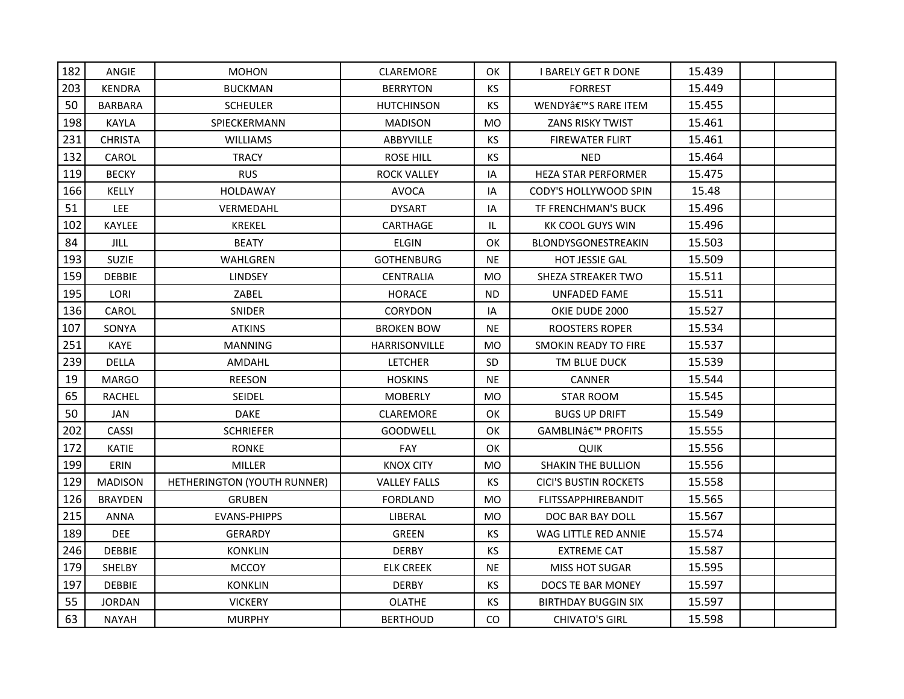| 182 | ANGIE          | <b>MOHON</b>                | CLAREMORE            | OK        | <b>I BARELY GET R DONE</b>   | 15.439 |  |
|-----|----------------|-----------------------------|----------------------|-----------|------------------------------|--------|--|
| 203 | <b>KENDRA</b>  | <b>BUCKMAN</b>              | <b>BERRYTON</b>      | <b>KS</b> | <b>FORREST</b>               | 15.449 |  |
| 50  | BARBARA        | <b>SCHEULER</b>             | HUTCHINSON           | <b>KS</b> | WENDY'S RARE ITEM            | 15.455 |  |
| 198 | KAYLA          | SPIECKERMANN                | <b>MADISON</b>       | <b>MO</b> | ZANS RISKY TWIST             | 15.461 |  |
| 231 | <b>CHRISTA</b> | <b>WILLIAMS</b>             | ABBYVILLE            | KS.       | <b>FIREWATER FLIRT</b>       | 15.461 |  |
| 132 | CAROL          | <b>TRACY</b>                | <b>ROSE HILL</b>     | <b>KS</b> | <b>NED</b>                   | 15.464 |  |
| 119 | <b>BECKY</b>   | <b>RUS</b>                  | ROCK VALLEY          | IA        | HEZA STAR PERFORMER          | 15.475 |  |
| 166 | KELLY          | HOLDAWAY                    | <b>AVOCA</b>         | IA        | CODY'S HOLLYWOOD SPIN        | 15.48  |  |
| 51  | LEE.           | VERMEDAHL                   | <b>DYSART</b>        | IA        | TF FRENCHMAN'S BUCK          | 15.496 |  |
| 102 | KAYLEE         | <b>KREKEL</b>               | CARTHAGE             | IL.       | <b>KK COOL GUYS WIN</b>      | 15.496 |  |
| 84  | <b>JILL</b>    | <b>BEATY</b>                | <b>ELGIN</b>         | OK        | BLONDYSGONESTREAKIN          | 15.503 |  |
| 193 | <b>SUZIE</b>   | WAHLGREN                    | <b>GOTHENBURG</b>    | <b>NE</b> | <b>HOT JESSIE GAL</b>        | 15.509 |  |
| 159 | <b>DEBBIE</b>  | LINDSEY                     | CENTRALIA            | MO        | SHEZA STREAKER TWO           | 15.511 |  |
| 195 | LORI           | ZABEL                       | <b>HORACE</b>        | ND.       | <b>UNFADED FAME</b>          | 15.511 |  |
| 136 | CAROL          | SNIDER                      | <b>CORYDON</b>       | IA        | OKIE DUDE 2000               | 15.527 |  |
| 107 | SONYA          | <b>ATKINS</b>               | <b>BROKEN BOW</b>    | NE.       | ROOSTERS ROPER               | 15.534 |  |
| 251 | KAYE           | <b>MANNING</b>              | <b>HARRISONVILLE</b> | <b>MO</b> | <b>SMOKIN READY TO FIRE</b>  | 15.537 |  |
| 239 | <b>DELLA</b>   | AMDAHL                      | <b>LETCHER</b>       | <b>SD</b> | TM BLUE DUCK                 | 15.539 |  |
| 19  | <b>MARGO</b>   | <b>REESON</b>               | <b>HOSKINS</b>       | <b>NE</b> | CANNER                       | 15.544 |  |
| 65  | RACHEL         | <b>SEIDEL</b>               | <b>MOBERLY</b>       | MO        | <b>STAR ROOM</b>             | 15.545 |  |
| 50  | JAN            | <b>DAKE</b>                 | <b>CLAREMORE</b>     | OK        | <b>BUGS UP DRIFT</b>         | 15.549 |  |
| 202 | <b>CASSI</b>   | <b>SCHRIEFER</b>            | GOODWELL             | <b>OK</b> | GAMBLIN' PROFITS             | 15.555 |  |
| 172 | KATIE          | <b>RONKE</b>                | FAY                  | OK        | <b>QUIK</b>                  | 15.556 |  |
| 199 | ERIN           | <b>MILLER</b>               | <b>KNOX CITY</b>     | MO        | <b>SHAKIN THE BULLION</b>    | 15.556 |  |
| 129 | <b>MADISON</b> | HETHERINGTON (YOUTH RUNNER) | <b>VALLEY FALLS</b>  | <b>KS</b> | <b>CICI'S BUSTIN ROCKETS</b> | 15.558 |  |
| 126 | <b>BRAYDEN</b> | <b>GRUBEN</b>               | <b>FORDLAND</b>      | MO        | <b>FLITSSAPPHIREBANDIT</b>   | 15.565 |  |
| 215 | ANNA           | <b>EVANS-PHIPPS</b>         | LIBERAL              | <b>MO</b> | DOC BAR BAY DOLL             | 15.567 |  |
| 189 | <b>DEE</b>     | <b>GERARDY</b>              | <b>GREEN</b>         | KS.       | WAG LITTLE RED ANNIE         | 15.574 |  |
| 246 | <b>DEBBIE</b>  | <b>KONKLIN</b>              | <b>DERBY</b>         | KS        | <b>EXTREME CAT</b>           | 15.587 |  |
| 179 | SHELBY         | <b>MCCOY</b>                | <b>ELK CREEK</b>     | <b>NE</b> | <b>MISS HOT SUGAR</b>        | 15.595 |  |
| 197 | <b>DEBBIE</b>  | <b>KONKLIN</b>              | <b>DERBY</b>         | KS        | DOCS TE BAR MONEY            | 15.597 |  |
| 55  | <b>JORDAN</b>  | <b>VICKERY</b>              | <b>OLATHE</b>        | KS.       | <b>BIRTHDAY BUGGIN SIX</b>   | 15.597 |  |
| 63  | <b>NAYAH</b>   | <b>MURPHY</b>               | <b>BERTHOUD</b>      | CO.       | <b>CHIVATO'S GIRL</b>        | 15.598 |  |
|     |                |                             |                      |           |                              |        |  |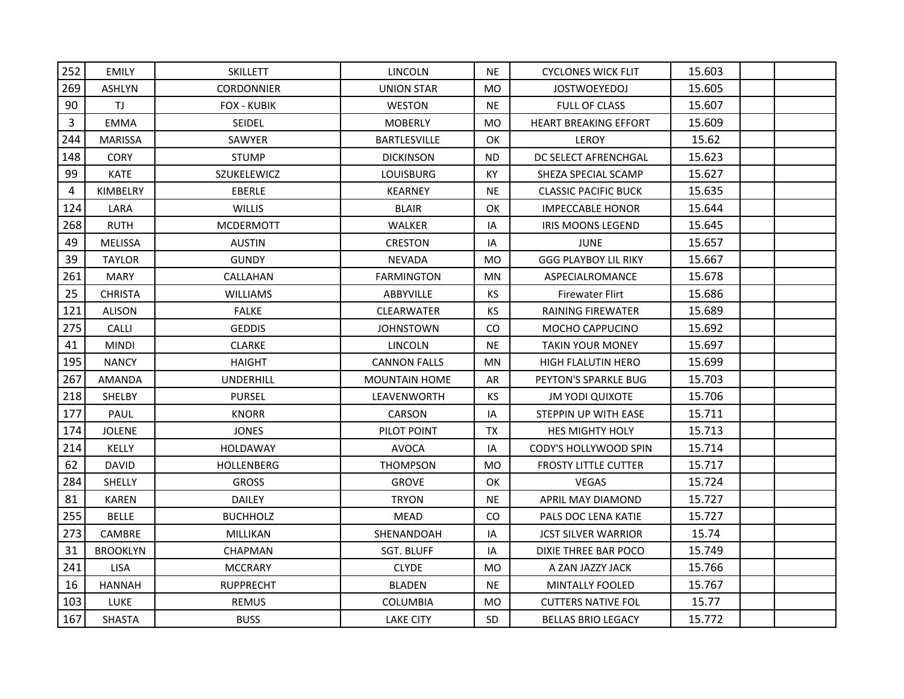| 252            | <b>EMILY</b>    | <b>SKILLETT</b>    | <b>LINCOLN</b>       | <b>NE</b>      | <b>CYCLONES WICK FLIT</b>    | 15.603 |  |
|----------------|-----------------|--------------------|----------------------|----------------|------------------------------|--------|--|
| 269            | <b>ASHLYN</b>   | <b>CORDONNIER</b>  | <b>UNION STAR</b>    | <b>MO</b>      | <b>JOSTWOEYEDOJ</b>          | 15.605 |  |
| 90             | TJ.             | <b>FOX - KUBIK</b> | <b>WESTON</b>        | <b>NE</b>      | <b>FULL OF CLASS</b>         | 15.607 |  |
| 3              | <b>EMMA</b>     | <b>SEIDEL</b>      | <b>MOBERLY</b>       | <b>MO</b>      | <b>HEART BREAKING EFFORT</b> | 15.609 |  |
| 244            | <b>MARISSA</b>  | SAWYER             | <b>BARTLESVILLE</b>  | OK             | LEROY                        | 15.62  |  |
| 148            | <b>CORY</b>     | <b>STUMP</b>       | <b>DICKINSON</b>     | <b>ND</b>      | DC SELECT AFRENCHGAL         | 15.623 |  |
| 99             | <b>KATE</b>     | SZUKELEWICZ        | <b>LOUISBURG</b>     | KY             | SHEZA SPECIAL SCAMP          | 15.627 |  |
| $\overline{4}$ | <b>KIMBELRY</b> | <b>EBERLE</b>      | <b>KEARNEY</b>       | <b>NE</b>      | <b>CLASSIC PACIFIC BUCK</b>  | 15.635 |  |
| 124            | LARA            | <b>WILLIS</b>      | <b>BLAIR</b>         | OK             | <b>IMPECCABLE HONOR</b>      | 15.644 |  |
| 268            | <b>RUTH</b>     | <b>MCDERMOTT</b>   | WALKER               | IA             | <b>IRIS MOONS LEGEND</b>     | 15.645 |  |
| 49             | <b>MELISSA</b>  | <b>AUSTIN</b>      | <b>CRESTON</b>       | IA             | <b>JUNE</b>                  | 15.657 |  |
| 39             | <b>TAYLOR</b>   | <b>GUNDY</b>       | <b>NEVADA</b>        | M <sub>O</sub> | <b>GGG PLAYBOY LIL RIKY</b>  | 15.667 |  |
| 261            | <b>MARY</b>     | CALLAHAN           | <b>FARMINGTON</b>    | <b>MN</b>      | ASPECIALROMANCE              | 15.678 |  |
| 25             | <b>CHRISTA</b>  | <b>WILLIAMS</b>    | <b>ABBYVILLE</b>     | <b>KS</b>      | <b>Firewater Flirt</b>       | 15.686 |  |
| 121            | <b>ALISON</b>   | <b>FALKE</b>       | <b>CLEARWATER</b>    | <b>KS</b>      | <b>RAINING FIREWATER</b>     | 15.689 |  |
| 275            | <b>CALLI</b>    | <b>GEDDIS</b>      | <b>JOHNSTOWN</b>     | CO.            | <b>MOCHO CAPPUCINO</b>       | 15.692 |  |
| 41             | <b>MINDI</b>    | <b>CLARKE</b>      | <b>LINCOLN</b>       | <b>NE</b>      | <b>TAKIN YOUR MONEY</b>      | 15.697 |  |
| 195            | <b>NANCY</b>    | <b>HAIGHT</b>      | <b>CANNON FALLS</b>  | <b>MN</b>      | <b>HIGH FLALUTIN HERO</b>    | 15.699 |  |
| 267            | <b>AMANDA</b>   | <b>UNDERHILL</b>   | <b>MOUNTAIN HOME</b> | AR             | PEYTON'S SPARKLE BUG         | 15.703 |  |
| 218            | <b>SHELBY</b>   | <b>PURSEL</b>      | <b>LEAVENWORTH</b>   | KS.            | <b>JM YODI QUIXOTE</b>       | 15.706 |  |
| 177            | PAUL            | <b>KNORR</b>       | <b>CARSON</b>        | IA             | STEPPIN UP WITH EASE         | 15.711 |  |
| 174            | <b>JOLENE</b>   | <b>JONES</b>       | PILOT POINT          | TX             | <b>HES MIGHTY HOLY</b>       | 15.713 |  |
| 214            | <b>KELLY</b>    | <b>HOLDAWAY</b>    | <b>AVOCA</b>         | IA             | <b>CODY'S HOLLYWOOD SPIN</b> | 15.714 |  |
| 62             | <b>DAVID</b>    | <b>HOLLENBERG</b>  | <b>THOMPSON</b>      | <b>MO</b>      | <b>FROSTY LITTLE CUTTER</b>  | 15.717 |  |
| 284            | <b>SHELLY</b>   | <b>GROSS</b>       | <b>GROVE</b>         | OK             | <b>VEGAS</b>                 | 15.724 |  |
| 81             | <b>KAREN</b>    | <b>DAILEY</b>      | <b>TRYON</b>         | <b>NE</b>      | APRIL MAY DIAMOND            | 15.727 |  |
| 255            | <b>BELLE</b>    | <b>BUCHHOLZ</b>    | <b>MEAD</b>          | CO             | PALS DOC LENA KATIE          | 15.727 |  |
| 273            | <b>CAMBRE</b>   | <b>MILLIKAN</b>    | SHENANDOAH           | IA             | <b>JCST SILVER WARRIOR</b>   | 15.74  |  |
| 31             | <b>BROOKLYN</b> | <b>CHAPMAN</b>     | <b>SGT. BLUFF</b>    | IA             | DIXIE THREE BAR POCO         | 15.749 |  |
| 241            | <b>LISA</b>     | <b>MCCRARY</b>     | <b>CLYDE</b>         | <b>MO</b>      | A ZAN JAZZY JACK             | 15.766 |  |
| 16             | HANNAH          | <b>RUPPRECHT</b>   | <b>BLADEN</b>        | <b>NE</b>      | MINTALLY FOOLED              | 15.767 |  |
| 103            | <b>LUKE</b>     | <b>REMUS</b>       | <b>COLUMBIA</b>      | MO             | <b>CUTTERS NATIVE FOL</b>    | 15.77  |  |
| 167            | <b>SHASTA</b>   | <b>BUSS</b>        | <b>LAKE CITY</b>     | SD.            | <b>BELLAS BRIO LEGACY</b>    | 15.772 |  |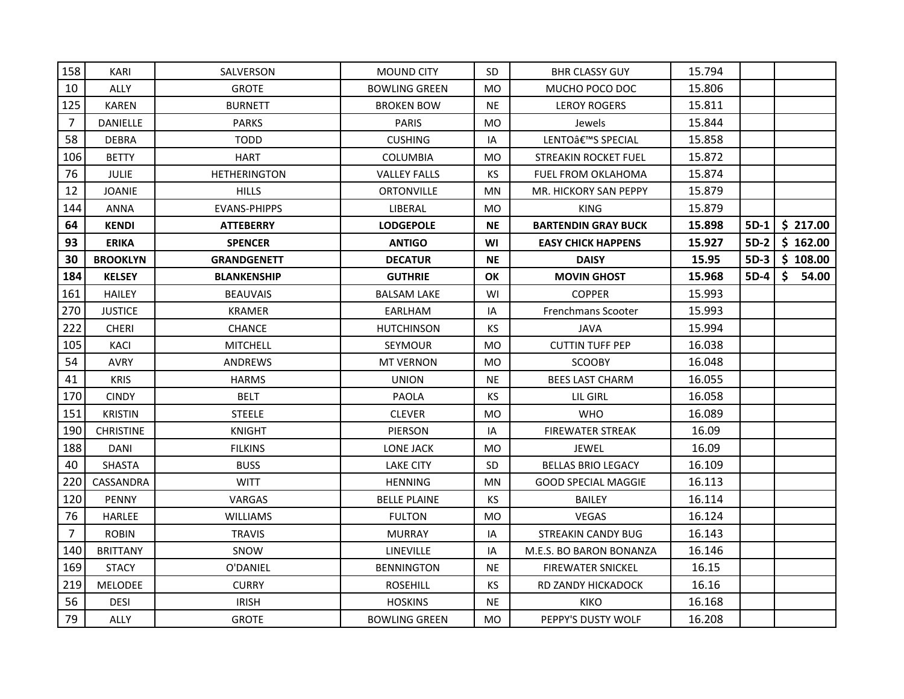| 158            | KARI             | SALVERSON           | <b>MOUND CITY</b>    | SD.            | <b>BHR CLASSY GUY</b>       | 15.794 |        |             |
|----------------|------------------|---------------------|----------------------|----------------|-----------------------------|--------|--------|-------------|
| 10             | ALLY             | <b>GROTE</b>        | <b>BOWLING GREEN</b> | <b>MO</b>      | MUCHO POCO DOC              | 15.806 |        |             |
| 125            | KAREN            | <b>BURNETT</b>      | <b>BROKEN BOW</b>    | <b>NE</b>      | <b>LEROY ROGERS</b>         | 15.811 |        |             |
| $\overline{7}$ | <b>DANIELLE</b>  | <b>PARKS</b>        | <b>PARIS</b>         | <b>MO</b>      | Jewels                      | 15.844 |        |             |
| 58             | <b>DEBRA</b>     | <b>TODD</b>         | <b>CUSHING</b>       | IA             | LENTO'S SPECIAL             | 15.858 |        |             |
| 106            | <b>BETTY</b>     | <b>HART</b>         | <b>COLUMBIA</b>      | <b>MO</b>      | <b>STREAKIN ROCKET FUEL</b> | 15.872 |        |             |
| 76             | <b>JULIE</b>     | <b>HETHERINGTON</b> | <b>VALLEY FALLS</b>  | <b>KS</b>      | FUEL FROM OKLAHOMA          | 15.874 |        |             |
| 12             | <b>JOANIE</b>    | <b>HILLS</b>        | <b>ORTONVILLE</b>    | ΜN             | MR. HICKORY SAN PEPPY       | 15.879 |        |             |
| 144            | <b>ANNA</b>      | <b>EVANS-PHIPPS</b> | LIBERAL              | <b>MO</b>      | <b>KING</b>                 | 15.879 |        |             |
| 64             | <b>KENDI</b>     | <b>ATTEBERRY</b>    | <b>LODGEPOLE</b>     | <b>NE</b>      | <b>BARTENDIN GRAY BUCK</b>  | 15.898 | $5D-1$ | \$217.00    |
| 93             | <b>ERIKA</b>     | <b>SPENCER</b>      | <b>ANTIGO</b>        | WI             | <b>EASY CHICK HAPPENS</b>   | 15.927 | $5D-2$ | \$162.00    |
| 30             | <b>BROOKLYN</b>  | <b>GRANDGENETT</b>  | <b>DECATUR</b>       | <b>NE</b>      | <b>DAISY</b>                | 15.95  | $5D-3$ | \$108.00    |
| 184            | <b>KELSEY</b>    | <b>BLANKENSHIP</b>  | <b>GUTHRIE</b>       | ΟK             | <b>MOVIN GHOST</b>          | 15.968 | $5D-4$ | \$<br>54.00 |
| 161            | <b>HAILEY</b>    | <b>BEAUVAIS</b>     | <b>BALSAM LAKE</b>   | WI             | <b>COPPER</b>               | 15.993 |        |             |
| 270            | <b>JUSTICE</b>   | <b>KRAMER</b>       | EARLHAM              | IA             | <b>Frenchmans Scooter</b>   | 15.993 |        |             |
| 222            | <b>CHERI</b>     | CHANCE              | HUTCHINSON           | KS.            | <b>JAVA</b>                 | 15.994 |        |             |
| 105            | <b>KACI</b>      | <b>MITCHELL</b>     | <b>SEYMOUR</b>       | MO             | <b>CUTTIN TUFF PEP</b>      | 16.038 |        |             |
| 54             | <b>AVRY</b>      | <b>ANDREWS</b>      | <b>MT VERNON</b>     | M <sub>O</sub> | <b>SCOOBY</b>               | 16.048 |        |             |
| 41             | <b>KRIS</b>      | <b>HARMS</b>        | <b>UNION</b>         | <b>NE</b>      | <b>BEES LAST CHARM</b>      | 16.055 |        |             |
| 170            | <b>CINDY</b>     | <b>BELT</b>         | <b>PAOLA</b>         | KS.            | LIL GIRL                    | 16.058 |        |             |
| 151            | <b>KRISTIN</b>   | <b>STEELE</b>       | <b>CLEVER</b>        | <b>MO</b>      | <b>WHO</b>                  | 16.089 |        |             |
| 190            | <b>CHRISTINE</b> | <b>KNIGHT</b>       | <b>PIERSON</b>       | IA             | <b>FIREWATER STREAK</b>     | 16.09  |        |             |
| 188            | <b>DANI</b>      | <b>FILKINS</b>      | <b>LONE JACK</b>     | <b>MO</b>      | <b>JEWEL</b>                | 16.09  |        |             |
| 40             | <b>SHASTA</b>    | <b>BUSS</b>         | <b>LAKE CITY</b>     | SD.            | <b>BELLAS BRIO LEGACY</b>   | 16.109 |        |             |
| 220            | CASSANDRA        | <b>WITT</b>         | <b>HENNING</b>       | MN             | <b>GOOD SPECIAL MAGGIE</b>  | 16.113 |        |             |
| 120            | PENNY            | VARGAS              | <b>BELLE PLAINE</b>  | KS.            | <b>BAILEY</b>               | 16.114 |        |             |
| 76             | <b>HARLEE</b>    | <b>WILLIAMS</b>     | <b>FULTON</b>        | <b>MO</b>      | <b>VEGAS</b>                | 16.124 |        |             |
| $\overline{7}$ | <b>ROBIN</b>     | <b>TRAVIS</b>       | <b>MURRAY</b>        | IA             | <b>STREAKIN CANDY BUG</b>   | 16.143 |        |             |
| 140            | <b>BRITTANY</b>  | SNOW                | <b>LINEVILLE</b>     | IA             | M.E.S. BO BARON BONANZA     | 16.146 |        |             |
| 169            | <b>STACY</b>     | O'DANIEL            | <b>BENNINGTON</b>    | <b>NE</b>      | <b>FIREWATER SNICKEL</b>    | 16.15  |        |             |
| 219            | <b>MELODEE</b>   | <b>CURRY</b>        | <b>ROSEHILL</b>      | <b>KS</b>      | RD ZANDY HICKADOCK          | 16.16  |        |             |
| 56             | <b>DESI</b>      | <b>IRISH</b>        | <b>HOSKINS</b>       | <b>NE</b>      | KIKO                        | 16.168 |        |             |
| 79             | <b>ALLY</b>      | <b>GROTE</b>        | <b>BOWLING GREEN</b> | MO             | PEPPY'S DUSTY WOLF          | 16.208 |        |             |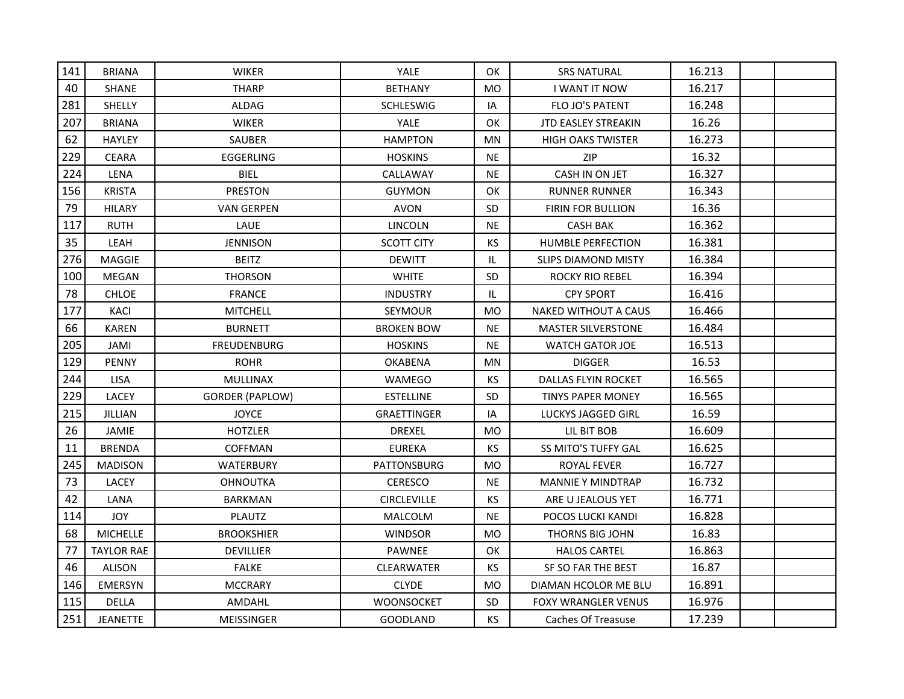| 141 | <b>BRIANA</b>     | <b>WIKER</b>           | <b>YALE</b>        | OK             | <b>SRS NATURAL</b>         | 16.213 |  |
|-----|-------------------|------------------------|--------------------|----------------|----------------------------|--------|--|
| 40  | <b>SHANE</b>      | <b>THARP</b>           | <b>BETHANY</b>     | <b>MO</b>      | <b>I WANT IT NOW</b>       | 16.217 |  |
| 281 | <b>SHELLY</b>     | ALDAG                  | <b>SCHLESWIG</b>   | IA             | <b>FLO JO'S PATENT</b>     | 16.248 |  |
| 207 | <b>BRIANA</b>     | <b>WIKER</b>           | <b>YALE</b>        | OK             | <b>JTD EASLEY STREAKIN</b> | 16.26  |  |
| 62  | <b>HAYLEY</b>     | <b>SAUBER</b>          | <b>HAMPTON</b>     | <b>MN</b>      | <b>HIGH OAKS TWISTER</b>   | 16.273 |  |
| 229 | <b>CEARA</b>      | EGGERLING              | <b>HOSKINS</b>     | <b>NE</b>      | ZIP                        | 16.32  |  |
| 224 | LENA              | <b>BIEL</b>            | CALLAWAY           | <b>NE</b>      | CASH IN ON JET             | 16.327 |  |
| 156 | <b>KRISTA</b>     | <b>PRESTON</b>         | <b>GUYMON</b>      | OK             | <b>RUNNER RUNNER</b>       | 16.343 |  |
| 79  | <b>HILARY</b>     | <b>VAN GERPEN</b>      | <b>AVON</b>        | SD.            | <b>FIRIN FOR BULLION</b>   | 16.36  |  |
| 117 | <b>RUTH</b>       | LAUE                   | <b>LINCOLN</b>     | <b>NE</b>      | <b>CASH BAK</b>            | 16.362 |  |
| 35  | LEAH              | <b>JENNISON</b>        | SCOTT CITY         | <b>KS</b>      | <b>HUMBLE PERFECTION</b>   | 16.381 |  |
| 276 | <b>MAGGIE</b>     | <b>BEITZ</b>           | <b>DEWITT</b>      | IL             | <b>SLIPS DIAMOND MISTY</b> | 16.384 |  |
| 100 | <b>MEGAN</b>      | <b>THORSON</b>         | <b>WHITE</b>       | SD             | ROCKY RIO REBEL            | 16.394 |  |
| 78  | <b>CHLOE</b>      | <b>FRANCE</b>          | <b>INDUSTRY</b>    | IL.            | <b>CPY SPORT</b>           | 16.416 |  |
| 177 | KACI              | <b>MITCHELL</b>        | <b>SEYMOUR</b>     | M <sub>O</sub> | NAKED WITHOUT A CAUS       | 16.466 |  |
| 66  | KAREN             | <b>BURNETT</b>         | <b>BROKEN BOW</b>  | <b>NE</b>      | <b>MASTER SILVERSTONE</b>  | 16.484 |  |
| 205 | <b>JAMI</b>       | <b>FREUDENBURG</b>     | <b>HOSKINS</b>     | <b>NE</b>      | <b>WATCH GATOR JOE</b>     | 16.513 |  |
| 129 | PENNY             | <b>ROHR</b>            | <b>OKABENA</b>     | <b>MN</b>      | <b>DIGGER</b>              | 16.53  |  |
| 244 | <b>LISA</b>       | <b>MULLINAX</b>        | <b>WAMEGO</b>      | KS             | DALLAS FLYIN ROCKET        | 16.565 |  |
| 229 | LACEY             | <b>GORDER (PAPLOW)</b> | <b>ESTELLINE</b>   | <b>SD</b>      | <b>TINYS PAPER MONEY</b>   | 16.565 |  |
| 215 | JILLIAN           | <b>JOYCE</b>           | <b>GRAETTINGER</b> | IA             | <b>LUCKYS JAGGED GIRL</b>  | 16.59  |  |
| 26  | JAMIE             | <b>HOTZLER</b>         | <b>DREXEL</b>      | <b>MO</b>      | LIL BIT BOB                | 16.609 |  |
| 11  | <b>BRENDA</b>     | COFFMAN                | <b>EUREKA</b>      | KS             | SS MITO'S TUFFY GAL        | 16.625 |  |
| 245 | <b>MADISON</b>    | <b>WATERBURY</b>       | <b>PATTONSBURG</b> | <b>MO</b>      | ROYAL FEVER                | 16.727 |  |
| 73  | <b>LACEY</b>      | <b>OHNOUTKA</b>        | <b>CERESCO</b>     | <b>NE</b>      | <b>MANNIE Y MINDTRAP</b>   | 16.732 |  |
| 42  | LANA              | <b>BARKMAN</b>         | <b>CIRCLEVILLE</b> | KS             | ARE U JEALOUS YET          | 16.771 |  |
| 114 | JOY               | <b>PLAUTZ</b>          | MALCOLM            | <b>NE</b>      | POCOS LUCKI KANDI          | 16.828 |  |
| 68  | <b>MICHELLE</b>   | <b>BROOKSHIER</b>      | <b>WINDSOR</b>     | <b>MO</b>      | THORNS BIG JOHN            | 16.83  |  |
| 77  | <b>TAYLOR RAE</b> | <b>DEVILLIER</b>       | <b>PAWNEE</b>      | OK             | <b>HALOS CARTEL</b>        | 16.863 |  |
| 46  | <b>ALISON</b>     | <b>FALKE</b>           | CLEARWATER         | <b>KS</b>      | SF SO FAR THE BEST         | 16.87  |  |
| 146 | EMERSYN           | <b>MCCRARY</b>         | <b>CLYDE</b>       | M <sub>O</sub> | DIAMAN HCOLOR ME BLU       | 16.891 |  |
| 115 | DELLA             | AMDAHL                 | <b>WOONSOCKET</b>  | <b>SD</b>      | <b>FOXY WRANGLER VENUS</b> | 16.976 |  |
| 251 | <b>JEANETTE</b>   | <b>MEISSINGER</b>      | <b>GOODLAND</b>    | <b>KS</b>      | <b>Caches Of Treasuse</b>  | 17.239 |  |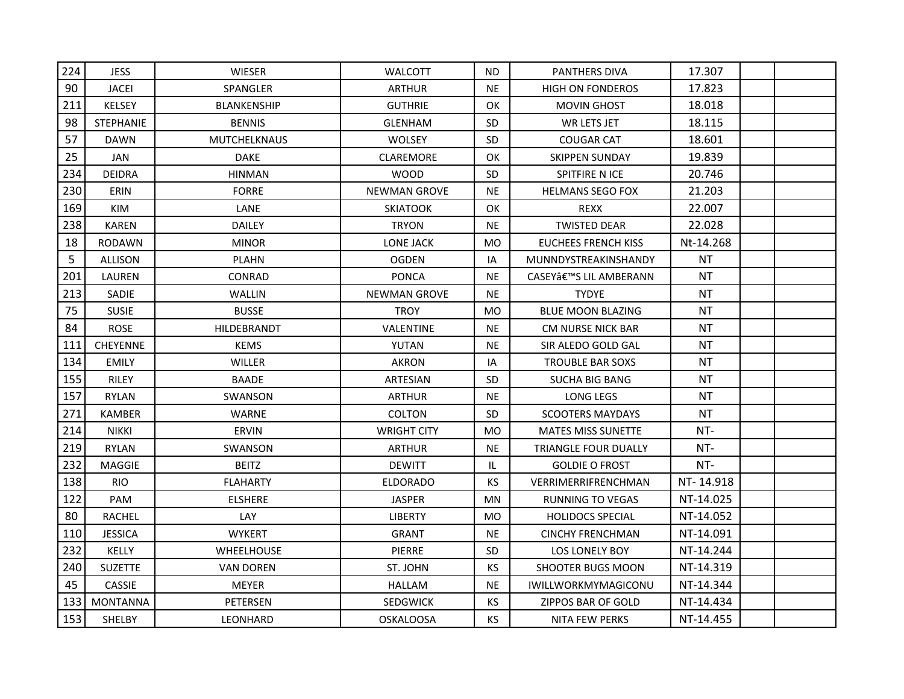| 224 | <b>JESS</b>      | <b>WIESER</b>       | <b>WALCOTT</b>      | ND.            | <b>PANTHERS DIVA</b>        | 17.307    |  |
|-----|------------------|---------------------|---------------------|----------------|-----------------------------|-----------|--|
| 90  | JACEI            | SPANGLER            | <b>ARTHUR</b>       | <b>NE</b>      | <b>HIGH ON FONDEROS</b>     | 17.823    |  |
| 211 | <b>KELSEY</b>    | <b>BLANKENSHIP</b>  | <b>GUTHRIE</b>      | OK             | <b>MOVIN GHOST</b>          | 18.018    |  |
| 98  | <b>STEPHANIE</b> | <b>BENNIS</b>       | <b>GLENHAM</b>      | SD.            | WR LETS JET                 | 18.115    |  |
| 57  | <b>DAWN</b>      | <b>MUTCHELKNAUS</b> | <b>WOLSEY</b>       | <b>SD</b>      | <b>COUGAR CAT</b>           | 18.601    |  |
| 25  | JAN              | <b>DAKE</b>         | CLAREMORE           | OK             | <b>SKIPPEN SUNDAY</b>       | 19.839    |  |
| 234 | <b>DEIDRA</b>    | <b>HINMAN</b>       | <b>WOOD</b>         | <b>SD</b>      | SPITFIRE N ICE              | 20.746    |  |
| 230 | <b>ERIN</b>      | <b>FORRE</b>        | <b>NEWMAN GROVE</b> | <b>NE</b>      | <b>HELMANS SEGO FOX</b>     | 21.203    |  |
| 169 | KIM              | LANE                | <b>SKIATOOK</b>     | OK.            | <b>REXX</b>                 | 22.007    |  |
| 238 | <b>KAREN</b>     | <b>DAILEY</b>       | <b>TRYON</b>        | <b>NE</b>      | <b>TWISTED DEAR</b>         | 22.028    |  |
| 18  | RODAWN           | <b>MINOR</b>        | LONE JACK           | <b>MO</b>      | <b>EUCHEES FRENCH KISS</b>  | Nt-14.268 |  |
| 5   | ALLISON          | <b>PLAHN</b>        | <b>OGDEN</b>        | IA             | MUNNDYSTREAKINSHANDY        | ΝT        |  |
| 201 | LAUREN           | CONRAD              | <b>PONCA</b>        | <b>NE</b>      | CASEY'S LIL AMBERANN        | ΝT        |  |
| 213 | <b>SADIE</b>     | <b>WALLIN</b>       | <b>NEWMAN GROVE</b> | <b>NE</b>      | <b>TYDYE</b>                | <b>NT</b> |  |
| 75  | <b>SUSIE</b>     | <b>BUSSE</b>        | <b>TROY</b>         | <b>MO</b>      | <b>BLUE MOON BLAZING</b>    | <b>NT</b> |  |
| 84  | <b>ROSE</b>      | HILDEBRANDT         | VALENTINE           | <b>NE</b>      | CM NURSE NICK BAR           | NΤ        |  |
| 111 | <b>CHEYENNE</b>  | <b>KEMS</b>         | YUTAN               | <b>NE</b>      | SIR ALEDO GOLD GAL          | NT        |  |
| 134 | <b>EMILY</b>     | WILLER              | <b>AKRON</b>        | IA             | <b>TROUBLE BAR SOXS</b>     | NΤ        |  |
| 155 | <b>RILEY</b>     | <b>BAADE</b>        | <b>ARTESIAN</b>     | <b>SD</b>      | <b>SUCHA BIG BANG</b>       | NΤ        |  |
| 157 | RYLAN            | <b>SWANSON</b>      | <b>ARTHUR</b>       | <b>NE</b>      | <b>LONG LEGS</b>            | NΤ        |  |
| 271 | <b>KAMBER</b>    | <b>WARNE</b>        | <b>COLTON</b>       | <b>SD</b>      | <b>SCOOTERS MAYDAYS</b>     | NT        |  |
| 214 | <b>NIKKI</b>     | <b>ERVIN</b>        | <b>WRIGHT CITY</b>  | MO             | <b>MATES MISS SUNETTE</b>   | NT-       |  |
| 219 | RYLAN            | SWANSON             | <b>ARTHUR</b>       | <b>NE</b>      | <b>TRIANGLE FOUR DUALLY</b> | NT-       |  |
| 232 | <b>MAGGIE</b>    | <b>BEITZ</b>        | <b>DEWITT</b>       | IL.            | <b>GOLDIE O FROST</b>       | NT-       |  |
| 138 | <b>RIO</b>       | <b>FLAHARTY</b>     | <b>ELDORADO</b>     | <b>KS</b>      | VERRIMERRIFRENCHMAN         | NT-14.918 |  |
| 122 | PAM              | <b>ELSHERE</b>      | <b>JASPER</b>       | MN             | RUNNING TO VEGAS            | NT-14.025 |  |
| 80  | RACHEL           | LAY                 | <b>LIBERTY</b>      | M <sub>O</sub> | <b>HOLIDOCS SPECIAL</b>     | NT-14.052 |  |
| 110 | <b>JESSICA</b>   | <b>WYKERT</b>       | <b>GRANT</b>        | <b>NE</b>      | <b>CINCHY FRENCHMAN</b>     | NT-14.091 |  |
| 232 | <b>KELLY</b>     | <b>WHEELHOUSE</b>   | PIERRE              | <b>SD</b>      | LOS LONELY BOY              | NT-14.244 |  |
| 240 | <b>SUZETTE</b>   | <b>VAN DOREN</b>    | ST. JOHN            | <b>KS</b>      | <b>SHOOTER BUGS MOON</b>    | NT-14.319 |  |
| 45  | <b>CASSIE</b>    | <b>MEYER</b>        | <b>HALLAM</b>       | <b>NE</b>      | IWILLWORKMYMAGICONU         | NT-14.344 |  |
| 133 | <b>MONTANNA</b>  | PETERSEN            | <b>SEDGWICK</b>     | КS             | <b>ZIPPOS BAR OF GOLD</b>   | NT-14.434 |  |
| 153 | SHELBY           | <b>LEONHARD</b>     | <b>OSKALOOSA</b>    | <b>KS</b>      | NITA FEW PERKS              | NT-14.455 |  |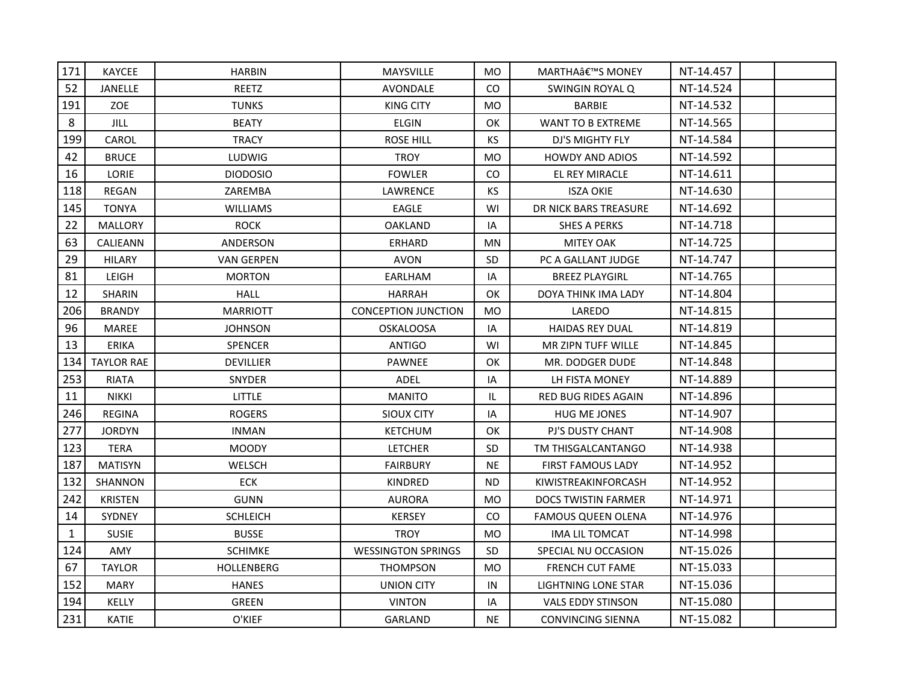| 171  | <b>KAYCEE</b>     | <b>HARBIN</b>     | <b>MAYSVILLE</b>           | MO.       | MARTHA'S MONEY             | NT-14.457 |  |
|------|-------------------|-------------------|----------------------------|-----------|----------------------------|-----------|--|
| 52   | JANELLE           | REETZ             | AVONDALE                   | CO        | SWINGIN ROYAL Q            | NT-14.524 |  |
| 191  | ZOE               | <b>TUNKS</b>      | <b>KING CITY</b>           | <b>MO</b> | <b>BARBIE</b>              | NT-14.532 |  |
| 8    | <b>JILL</b>       | <b>BEATY</b>      | <b>ELGIN</b>               | <b>OK</b> | <b>WANT TO B EXTREME</b>   | NT-14.565 |  |
| 199  | CAROL             | <b>TRACY</b>      | <b>ROSE HILL</b>           | KS        | DJ'S MIGHTY FLY            | NT-14.584 |  |
| 42   | <b>BRUCE</b>      | <b>LUDWIG</b>     | <b>TROY</b>                | <b>MO</b> | <b>HOWDY AND ADIOS</b>     | NT-14.592 |  |
| 16   | LORIE             | <b>DIODOSIO</b>   | <b>FOWLER</b>              | <b>CO</b> | EL REY MIRACLE             | NT-14.611 |  |
| 118  | <b>REGAN</b>      | ZAREMBA           | LAWRENCE                   | <b>KS</b> | <b>ISZA OKIE</b>           | NT-14.630 |  |
| 145  | <b>TONYA</b>      | <b>WILLIAMS</b>   | <b>EAGLE</b>               | WI        | DR NICK BARS TREASURE      | NT-14.692 |  |
| 22   | <b>MALLORY</b>    | <b>ROCK</b>       | <b>OAKLAND</b>             | IA        | <b>SHES A PERKS</b>        | NT-14.718 |  |
| 63   | CALIEANN          | ANDERSON          | <b>ERHARD</b>              | MN        | <b>MITEY OAK</b>           | NT-14.725 |  |
| 29   | <b>HILARY</b>     | <b>VAN GERPEN</b> | <b>AVON</b>                | SD        | PC A GALLANT JUDGE         | NT-14.747 |  |
| 81   | <b>LEIGH</b>      | <b>MORTON</b>     | EARLHAM                    | IA        | <b>BREEZ PLAYGIRL</b>      | NT-14.765 |  |
| 12   | <b>SHARIN</b>     | <b>HALL</b>       | <b>HARRAH</b>              | <b>OK</b> | DOYA THINK IMA LADY        | NT-14.804 |  |
| 206  | <b>BRANDY</b>     | <b>MARRIOTT</b>   | <b>CONCEPTION JUNCTION</b> | <b>MO</b> | LAREDO                     | NT-14.815 |  |
| 96   | MAREE             | <b>JOHNSON</b>    | OSKALOOSA                  | IA        | <b>HAIDAS REY DUAL</b>     | NT-14.819 |  |
| 13   | <b>ERIKA</b>      | SPENCER           | <b>ANTIGO</b>              | WI        | MR ZIPN TUFF WILLE         | NT-14.845 |  |
| 1341 | <b>TAYLOR RAE</b> | <b>DEVILLIER</b>  | <b>PAWNEE</b>              | <b>OK</b> | MR. DODGER DUDE            | NT-14.848 |  |
| 253  | <b>RIATA</b>      | <b>SNYDER</b>     | ADEL                       | IA        | LH FISTA MONEY             | NT-14.889 |  |
| 11   | <b>NIKKI</b>      | <b>LITTLE</b>     | <b>MANITO</b>              | IL.       | <b>RED BUG RIDES AGAIN</b> | NT-14.896 |  |
| 246  | <b>REGINA</b>     | <b>ROGERS</b>     | <b>SIOUX CITY</b>          | IA        | <b>HUG ME JONES</b>        | NT-14.907 |  |
| 277  | <b>JORDYN</b>     | <b>INMAN</b>      | <b>KETCHUM</b>             | OK        | PJ'S DUSTY CHANT           | NT-14.908 |  |
| 123  | <b>TERA</b>       | <b>MOODY</b>      | <b>LETCHER</b>             | SD.       | TM THISGALCANTANGO         | NT-14.938 |  |
| 187  | <b>MATISYN</b>    | WELSCH            | <b>FAIRBURY</b>            | <b>NE</b> | <b>FIRST FAMOUS LADY</b>   | NT-14.952 |  |
| 132  | SHANNON           | ECK               | KINDRED                    | <b>ND</b> | KIWISTREAKINFORCASH        | NT-14.952 |  |
| 242  | <b>KRISTEN</b>    | <b>GUNN</b>       | <b>AURORA</b>              | MO        | <b>DOCS TWISTIN FARMER</b> | NT-14.971 |  |
| 14   | <b>SYDNEY</b>     | <b>SCHLEICH</b>   | <b>KERSEY</b>              | CO.       | FAMOUS QUEEN OLENA         | NT-14.976 |  |
| 1    | <b>SUSIE</b>      | <b>BUSSE</b>      | <b>TROY</b>                | MO.       | IMA LIL TOMCAT             | NT-14.998 |  |
| 124  | AMY               | <b>SCHIMKE</b>    | <b>WESSINGTON SPRINGS</b>  | <b>SD</b> | SPECIAL NU OCCASION        | NT-15.026 |  |
| 67   | <b>TAYLOR</b>     | <b>HOLLENBERG</b> | <b>THOMPSON</b>            | <b>MO</b> | <b>FRENCH CUT FAME</b>     | NT-15.033 |  |
| 152  | MARY              | <b>HANES</b>      | <b>UNION CITY</b>          | IN        | <b>LIGHTNING LONE STAR</b> | NT-15.036 |  |
| 194  | KELLY             | GREEN             | <b>VINTON</b>              | IA        | <b>VALS EDDY STINSON</b>   | NT-15.080 |  |
| 231  | KATIE             | O'KIEF            | GARLAND                    | <b>NE</b> | <b>CONVINCING SIENNA</b>   | NT-15.082 |  |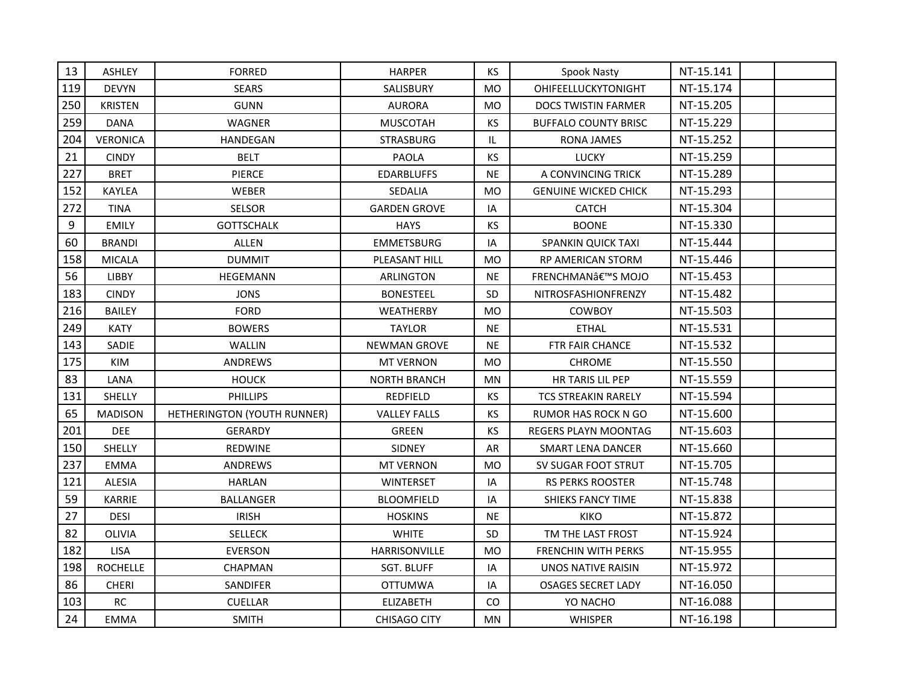| 13  | <b>ASHLEY</b>   | <b>FORRED</b>               | <b>HARPER</b>       | KS.            | <b>Spook Nasty</b>          | NT-15.141 |  |
|-----|-----------------|-----------------------------|---------------------|----------------|-----------------------------|-----------|--|
| 119 | <b>DEVYN</b>    | <b>SEARS</b>                | SALISBURY           | <b>MO</b>      | OHIFEELLUCKYTONIGHT         | NT-15.174 |  |
| 250 | KRISTEN         | <b>GUNN</b>                 | <b>AURORA</b>       | <b>MO</b>      | <b>DOCS TWISTIN FARMER</b>  | NT-15.205 |  |
| 259 | DANA            | WAGNER                      | <b>MUSCOTAH</b>     | KS             | <b>BUFFALO COUNTY BRISC</b> | NT-15.229 |  |
| 204 | <b>VERONICA</b> | <b>HANDEGAN</b>             | <b>STRASBURG</b>    | IL.            | <b>RONA JAMES</b>           | NT-15.252 |  |
| 21  | <b>CINDY</b>    | <b>BELT</b>                 | PAOLA               | <b>KS</b>      | <b>LUCKY</b>                | NT-15.259 |  |
| 227 | <b>BRET</b>     | <b>PIERCE</b>               | <b>EDARBLUFFS</b>   | <b>NE</b>      | A CONVINCING TRICK          | NT-15.289 |  |
| 152 | KAYLEA          | <b>WEBER</b>                | SEDALIA             | M <sub>O</sub> | <b>GENUINE WICKED CHICK</b> | NT-15.293 |  |
| 272 | TINA            | <b>SELSOR</b>               | <b>GARDEN GROVE</b> | IA             | <b>CATCH</b>                | NT-15.304 |  |
| 9   | <b>EMILY</b>    | <b>GOTTSCHALK</b>           | <b>HAYS</b>         | KS             | <b>BOONE</b>                | NT-15.330 |  |
| 60  | <b>BRANDI</b>   | ALLEN                       | <b>EMMETSBURG</b>   | IA             | SPANKIN QUICK TAXI          | NT-15.444 |  |
| 158 | <b>MICALA</b>   | <b>DUMMIT</b>               | PLEASANT HILL       | <b>MO</b>      | RP AMERICAN STORM           | NT-15.446 |  |
| 56  | <b>LIBBY</b>    | <b>HEGEMANN</b>             | ARLINGTON           | <b>NE</b>      | FRENCHMAN'S MOJO            | NT-15.453 |  |
| 183 | <b>CINDY</b>    | <b>JONS</b>                 | <b>BONESTEEL</b>    | <b>SD</b>      | NITROSFASHIONFRENZY         | NT-15.482 |  |
| 216 | <b>BAILEY</b>   | <b>FORD</b>                 | WEATHERBY           | <b>MO</b>      | <b>COWBOY</b>               | NT-15.503 |  |
| 249 | <b>KATY</b>     | <b>BOWERS</b>               | <b>TAYLOR</b>       | <b>NE</b>      | <b>ETHAL</b>                | NT-15.531 |  |
| 143 | SADIE           | WALLIN                      | <b>NEWMAN GROVE</b> | <b>NE</b>      | FTR FAIR CHANCE             | NT-15.532 |  |
| 175 | KIM             | ANDREWS                     | <b>MT VERNON</b>    | <b>MO</b>      | <b>CHROME</b>               | NT-15.550 |  |
| 83  | LANA            | <b>HOUCK</b>                | <b>NORTH BRANCH</b> | <b>MN</b>      | HR TARIS LIL PEP            | NT-15.559 |  |
| 131 | SHELLY          | <b>PHILLIPS</b>             | REDFIELD            | KS             | <b>TCS STREAKIN RARELY</b>  | NT-15.594 |  |
| 65  | <b>MADISON</b>  | HETHERINGTON (YOUTH RUNNER) | <b>VALLEY FALLS</b> | KS             | <b>RUMOR HAS ROCK N GO</b>  | NT-15.600 |  |
| 201 | <b>DEE</b>      | <b>GERARDY</b>              | <b>GREEN</b>        | KS             | <b>REGERS PLAYN MOONTAG</b> | NT-15.603 |  |
| 150 | SHELLY          | REDWINE                     | SIDNEY              | AR             | <b>SMART LENA DANCER</b>    | NT-15.660 |  |
| 237 | <b>EMMA</b>     | <b>ANDREWS</b>              | <b>MT VERNON</b>    | MO             | SV SUGAR FOOT STRUT         | NT-15.705 |  |
| 121 | ALESIA          | <b>HARLAN</b>               | <b>WINTERSET</b>    | IA             | <b>RS PERKS ROOSTER</b>     | NT-15.748 |  |
| 59  | <b>KARRIE</b>   | <b>BALLANGER</b>            | <b>BLOOMFIELD</b>   | IA             | <b>SHIEKS FANCY TIME</b>    | NT-15.838 |  |
| 27  | <b>DESI</b>     | <b>IRISH</b>                | <b>HOSKINS</b>      | <b>NE</b>      | <b>KIKO</b>                 | NT-15.872 |  |
| 82  | OLIVIA          | <b>SELLECK</b>              | <b>WHITE</b>        | <b>SD</b>      | TM THE LAST FROST           | NT-15.924 |  |
| 182 | <b>LISA</b>     | <b>EVERSON</b>              | HARRISONVILLE       | <b>MO</b>      | <b>FRENCHIN WITH PERKS</b>  | NT-15.955 |  |
| 198 | <b>ROCHELLE</b> | <b>CHAPMAN</b>              | <b>SGT. BLUFF</b>   | IA             | UNOS NATIVE RAISIN          | NT-15.972 |  |
| 86  | <b>CHERI</b>    | SANDIFER                    | <b>OTTUMWA</b>      | IA             | <b>OSAGES SECRET LADY</b>   | NT-16.050 |  |
| 103 | <b>RC</b>       | <b>CUELLAR</b>              | ELIZABETH           | CO.            | YO NACHO                    | NT-16.088 |  |
| 24  | <b>EMMA</b>     | <b>SMITH</b>                | <b>CHISAGO CITY</b> | <b>MN</b>      | <b>WHISPER</b>              | NT-16.198 |  |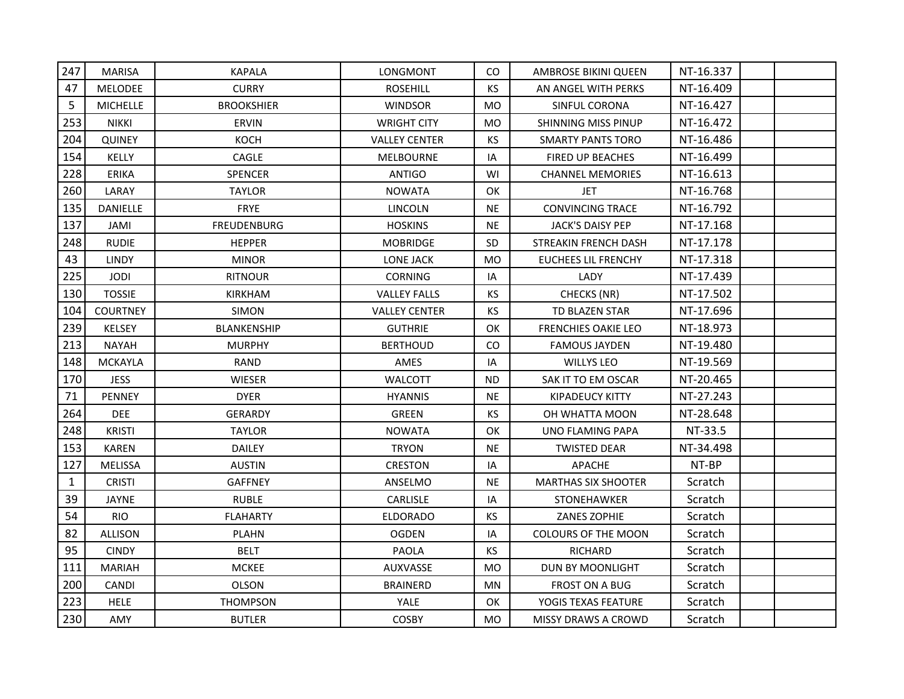| 247          | <b>MARISA</b>   | <b>KAPALA</b>      | LONGMONT             | CO.       | <b>AMBROSE BIKINI QUEEN</b> | NT-16.337 |  |
|--------------|-----------------|--------------------|----------------------|-----------|-----------------------------|-----------|--|
| 47           | <b>MELODEE</b>  | <b>CURRY</b>       | <b>ROSEHILL</b>      | <b>KS</b> | AN ANGEL WITH PERKS         | NT-16.409 |  |
| 5            | <b>MICHELLE</b> | <b>BROOKSHIER</b>  | <b>WINDSOR</b>       | MO        | SINFUL CORONA               | NT-16.427 |  |
| 253          | NIKKI           | <b>ERVIN</b>       | WRIGHT CITY          | <b>MO</b> | SHINNING MISS PINUP         | NT-16.472 |  |
| 204          | <b>QUINEY</b>   | KOCH               | <b>VALLEY CENTER</b> | KS        | <b>SMARTY PANTS TORO</b>    | NT-16.486 |  |
| 154          | KELLY           | CAGLE              | <b>MELBOURNE</b>     | IA        | FIRED UP BEACHES            | NT-16.499 |  |
| 228          | <b>ERIKA</b>    | SPENCER            | <b>ANTIGO</b>        | WI        | <b>CHANNEL MEMORIES</b>     | NT-16.613 |  |
| 260          | LARAY           | <b>TAYLOR</b>      | <b>NOWATA</b>        | OK        | <b>JET</b>                  | NT-16.768 |  |
| 135          | <b>DANIELLE</b> | <b>FRYE</b>        | <b>LINCOLN</b>       | <b>NE</b> | <b>CONVINCING TRACE</b>     | NT-16.792 |  |
| 137          | <b>JAMI</b>     | <b>FREUDENBURG</b> | <b>HOSKINS</b>       | <b>NE</b> | JACK'S DAISY PEP            | NT-17.168 |  |
| 248          | <b>RUDIE</b>    | <b>HEPPER</b>      | <b>MOBRIDGE</b>      | <b>SD</b> | STREAKIN FRENCH DASH        | NT-17.178 |  |
| 43           | <b>LINDY</b>    | <b>MINOR</b>       | LONE JACK            | MO        | <b>EUCHEES LIL FRENCHY</b>  | NT-17.318 |  |
| 225          | <b>JODI</b>     | <b>RITNOUR</b>     | <b>CORNING</b>       | IA        | LADY                        | NT-17.439 |  |
| 130          | <b>TOSSIE</b>   | <b>KIRKHAM</b>     | <b>VALLEY FALLS</b>  | KS        | <b>CHECKS (NR)</b>          | NT-17.502 |  |
| 104          | <b>COURTNEY</b> | <b>SIMON</b>       | <b>VALLEY CENTER</b> | <b>KS</b> | <b>TD BLAZEN STAR</b>       | NT-17.696 |  |
| 239          | <b>KELSEY</b>   | <b>BLANKENSHIP</b> | <b>GUTHRIE</b>       | ОК        | <b>FRENCHIES OAKIE LEO</b>  | NT-18.973 |  |
| 213          | <b>NAYAH</b>    | <b>MURPHY</b>      | <b>BERTHOUD</b>      | <b>CO</b> | <b>FAMOUS JAYDEN</b>        | NT-19.480 |  |
| 148          | <b>MCKAYLA</b>  | <b>RAND</b>        | AMES                 | IA        | <b>WILLYS LEO</b>           | NT-19.569 |  |
| 170          | <b>JESS</b>     | <b>WIESER</b>      | <b>WALCOTT</b>       | <b>ND</b> | SAK IT TO EM OSCAR          | NT-20.465 |  |
| 71           | <b>PENNEY</b>   | <b>DYER</b>        | <b>HYANNIS</b>       | <b>NE</b> | <b>KIPADEUCY KITTY</b>      | NT-27.243 |  |
| 264          | DEE             | <b>GERARDY</b>     | <b>GREEN</b>         | <b>KS</b> | OH WHATTA MOON              | NT-28.648 |  |
| 248          | <b>KRISTI</b>   | <b>TAYLOR</b>      | <b>NOWATA</b>        | OK        | UNO FLAMING PAPA            | NT-33.5   |  |
| 153          | <b>KAREN</b>    | <b>DAILEY</b>      | <b>TRYON</b>         | <b>NE</b> | <b>TWISTED DEAR</b>         | NT-34.498 |  |
| 127          | <b>MELISSA</b>  | <b>AUSTIN</b>      | <b>CRESTON</b>       | IA        | <b>APACHE</b>               | NT-BP     |  |
| $\mathbf{1}$ | <b>CRISTI</b>   | <b>GAFFNEY</b>     | ANSELMO              | <b>NE</b> | <b>MARTHAS SIX SHOOTER</b>  | Scratch   |  |
| 39           | JAYNE           | <b>RUBLE</b>       | CARLISLE             | IA        | STONEHAWKER                 | Scratch   |  |
| 54           | RIO.            | <b>FLAHARTY</b>    | <b>ELDORADO</b>      | KS.       | ZANES ZOPHIE                | Scratch   |  |
| 82           | <b>ALLISON</b>  | <b>PLAHN</b>       | <b>OGDEN</b>         | IA        | <b>COLOURS OF THE MOON</b>  | Scratch   |  |
| 95           | <b>CINDY</b>    | <b>BELT</b>        | <b>PAOLA</b>         | KS        | <b>RICHARD</b>              | Scratch   |  |
| 111          | <b>MARIAH</b>   | <b>MCKEE</b>       | AUXVASSE             | <b>MO</b> | DUN BY MOONLIGHT            | Scratch   |  |
| 200          | <b>CANDI</b>    | <b>OLSON</b>       | BRAINERD             | MN        | <b>FROST ON A BUG</b>       | Scratch   |  |
| 223          | <b>HELE</b>     | <b>THOMPSON</b>    | YALE                 | OK        | YOGIS TEXAS FEATURE         | Scratch   |  |
| 230          | AMY             | <b>BUTLER</b>      | <b>COSBY</b>         | MO        | <b>MISSY DRAWS A CROWD</b>  | Scratch   |  |